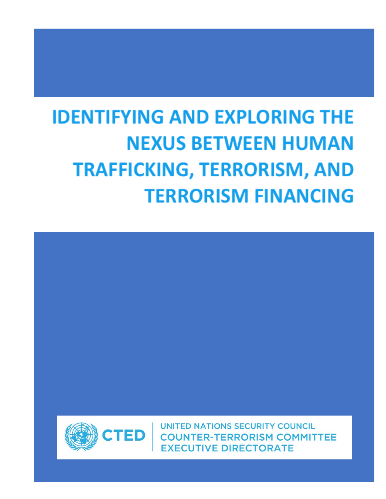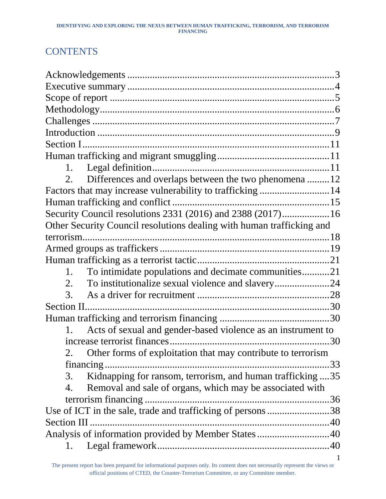# **CONTENTS**

| 1.                                                                         |  |
|----------------------------------------------------------------------------|--|
| Differences and overlaps between the two phenomena12                       |  |
|                                                                            |  |
|                                                                            |  |
| Security Council resolutions 2331 (2016) and 2388 (2017) 16                |  |
| Other Security Council resolutions dealing with human trafficking and      |  |
|                                                                            |  |
|                                                                            |  |
|                                                                            |  |
| To intimidate populations and decimate communities21<br>1.                 |  |
| 2.                                                                         |  |
| 3.                                                                         |  |
| Section II                                                                 |  |
|                                                                            |  |
| Acts of sexual and gender-based violence as an instrument to<br>$1_{\sim}$ |  |
|                                                                            |  |
| 2. Other forms of exploitation that may contribute to terrorism            |  |
| 33<br>financing.                                                           |  |
| Kidnapping for ransom, terrorism, and human trafficking 35<br>3.           |  |
| Removal and sale of organs, which may be associated with<br>4.             |  |
|                                                                            |  |
| Use of ICT in the sale, trade and trafficking of persons38                 |  |
| Section III                                                                |  |
| Analysis of information provided by Member States40                        |  |
| 1.                                                                         |  |
|                                                                            |  |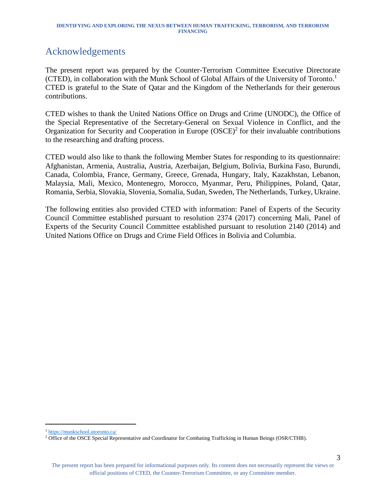# <span id="page-3-0"></span>Acknowledgements

The present report was prepared by the Counter-Terrorism Committee Executive Directorate (CTED), in collaboration with the Munk School of Global Affairs of the University of Toronto. 1 CTED is grateful to the State of Qatar and the Kingdom of the Netherlands for their generous contributions.

CTED wishes to thank the United Nations Office on Drugs and Crime (UNODC), the Office of the Special Representative of the Secretary-General on Sexual Violence in Conflict, and the Organization for Security and Cooperation in Europe  $(OSCE)^2$  for their invaluable contributions to the researching and drafting process.

CTED would also like to thank the following Member States for responding to its questionnaire: Afghanistan, Armenia, Australia, Austria, Azerbaijan, Belgium, Bolivia, Burkina Faso, Burundi, Canada, Colombia, France, Germany, Greece, Grenada, Hungary, Italy, Kazakhstan, Lebanon, Malaysia, Mali, Mexico, Montenegro, Morocco, Myanmar, Peru, Philippines, Poland, Qatar, Romania, Serbia, Slovakia, Slovenia, Somalia, Sudan, Sweden, The Netherlands, Turkey, Ukraine.

The following entities also provided CTED with information: Panel of Experts of the Security Council Committee established pursuant to resolution 2374 (2017) concerning Mali, Panel of Experts of the Security Council Committee established pursuant to resolution 2140 (2014) and United Nations Office on Drugs and Crime Field Offices in Bolivia and Columbia.

<sup>1</sup> <https://munkschool.utoronto.ca/>

<sup>&</sup>lt;sup>2</sup> Office of the OSCE Special Representative and Coordinator for Combating Trafficking in Human Beings (OSR/CTHB).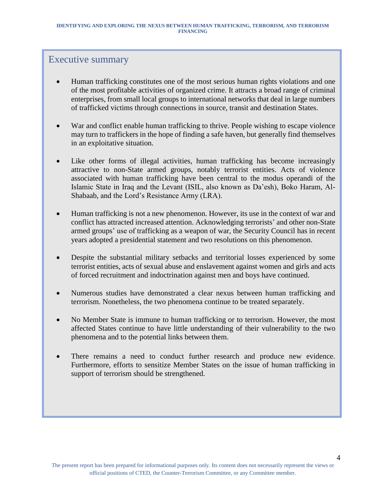### Executive summary

- Human trafficking constitutes one of the most serious human rights violations and one of the most profitable activities of organized crime. It attracts a broad range of criminal enterprises, from small local groups to international networks that deal in large numbers of trafficked victims through connections in source, transit and destination States.
- War and conflict enable human trafficking to thrive. People wishing to escape violence may turn to traffickers in the hope of finding a safe haven, but generally find themselves in an exploitative situation.
- Like other forms of illegal activities, human trafficking has become increasingly attractive to non-State armed groups, notably terrorist entities. Acts of violence associated with human trafficking have been central to the modus operandi of the Islamic State in Iraq and the Levant (ISIL, also known as Da'esh), Boko Haram, Al-Shabaab, and the Lord's Resistance Army (LRA).
- Human trafficking is not a new phenomenon. However, its use in the context of war and conflict has attracted increased attention. Acknowledging terrorists' and other non-State armed groups' use of trafficking as a weapon of war, the Security Council has in recent years adopted a presidential statement and two resolutions on this phenomenon.
- Despite the substantial military setbacks and territorial losses experienced by some terrorist entities, acts of sexual abuse and enslavement against women and girls and acts of forced recruitment and indoctrination against men and boys have continued.
- Numerous studies have demonstrated a clear nexus between human trafficking and terrorism. Nonetheless, the two phenomena continue to be treated separately.
- No Member State is immune to human trafficking or to terrorism. However, the most affected States continue to have little understanding of their vulnerability to the two phenomena and to the potential links between them.
- There remains a need to conduct further research and produce new evidence. Furthermore, efforts to sensitize Member States on the issue of human trafficking in support of terrorism should be strengthened.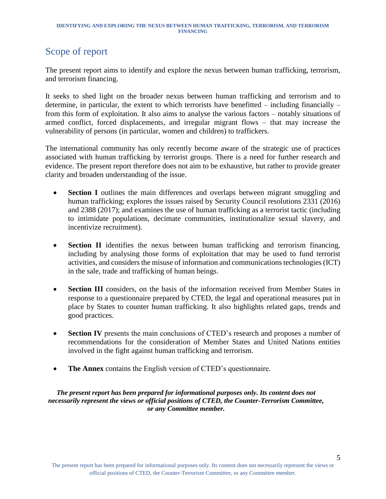# <span id="page-5-0"></span>Scope of report

The present report aims to identify and explore the nexus between human trafficking, terrorism, and terrorism financing.

It seeks to shed light on the broader nexus between human trafficking and terrorism and to determine, in particular, the extent to which terrorists have benefitted – including financially – from this form of exploitation. It also aims to analyse the various factors – notably situations of armed conflict, forced displacements, and irregular migrant flows – that may increase the vulnerability of persons (in particular, women and children) to traffickers.

The international community has only recently become aware of the strategic use of practices associated with human trafficking by terrorist groups. There is a need for further research and evidence. The present report therefore does not aim to be exhaustive, but rather to provide greater clarity and broaden understanding of the issue.

- **Section I** outlines the main differences and overlaps between migrant smuggling and human trafficking; explores the issues raised by Security Council resolutions 2331 (2016) and 2388 (2017); and examines the use of human trafficking as a terrorist tactic (including to intimidate populations, decimate communities, institutionalize sexual slavery, and incentivize recruitment).
- **Section II** identifies the nexus between human trafficking and terrorism financing, including by analysing those forms of exploitation that may be used to fund terrorist activities, and considers the misuse of information and communications technologies (ICT) in the sale, trade and trafficking of human beings.
- **Section III** considers, on the basis of the information received from Member States in response to a questionnaire prepared by CTED, the legal and operational measures put in place by States to counter human trafficking. It also highlights related gaps, trends and good practices.
- **Section IV** presents the main conclusions of CTED's research and proposes a number of recommendations for the consideration of Member States and United Nations entities involved in the fight against human trafficking and terrorism.
- **The Annex** contains the English version of CTED's questionnaire.

*The present report has been prepared for informational purposes only. Its content does not necessarily represent the views or official positions of CTED, the Counter-Terrorism Committee, or any Committee member.*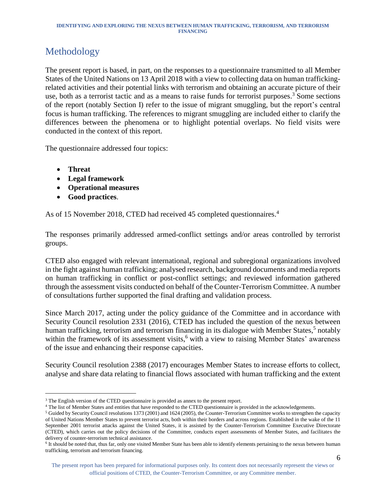# <span id="page-6-0"></span>Methodology

The present report is based, in part, on the responses to a questionnaire transmitted to all Member States of the United Nations on 13 April 2018 with a view to collecting data on human traffickingrelated activities and their potential links with terrorism and obtaining an accurate picture of their use, both as a terrorist tactic and as a means to raise funds for terrorist purposes. <sup>3</sup> Some sections of the report (notably Section I) refer to the issue of migrant smuggling, but the report's central focus is human trafficking. The references to migrant smuggling are included either to clarify the differences between the phenomena or to highlight potential overlaps. No field visits were conducted in the context of this report.

The questionnaire addressed four topics:

• **Threat**

l

- **Legal framework**
- **Operational measures**
- **Good practices**.

As of 15 November 2018, CTED had received 45 completed questionnaires. 4

The responses primarily addressed armed-conflict settings and/or areas controlled by terrorist groups.

CTED also engaged with relevant international, regional and subregional organizations involved in the fight against human trafficking; analysed research, background documents and media reports on human trafficking in conflict or post-conflict settings; and reviewed information gathered through the assessment visits conducted on behalf of the Counter-Terrorism Committee. A number of consultations further supported the final drafting and validation process.

Since March 2017, acting under the policy guidance of the Committee and in accordance with Security Council resolution 2331 (2016), CTED has included the question of the nexus between human trafficking, terrorism and terrorism financing in its dialogue with Member States,<sup>5</sup> notably within the framework of its assessment visits,<sup>6</sup> with a view to raising Member States' awareness of the issue and enhancing their response capacities.

Security Council resolution 2388 (2017) encourages Member States to increase efforts to collect, analyse and share data relating to financial flows associated with human trafficking and the extent

<sup>&</sup>lt;sup>3</sup> The English version of the CTED questionnaire is provided as annex to the present report.

<sup>4</sup> The list of Member States and entities that have responded to the CTED questionnaire is provided in the acknowledgements.

<sup>5</sup> Guided by Security Council resolutions 1373 (2001) and 1624 (2005), the Counter-Terrorism Committee works to strengthen the capacity of United Nations Member States to prevent terrorist acts, both within their borders and across regions. Established in the wake of the 11 September 2001 terrorist attacks against the United States, it is assisted by the Counter-Terrorism Committee Executive Directorate (CTED), which carries out the policy decisions of the Committee, conducts expert assessments of Member States, and facilitates the delivery of counter-terrorism technical assistance.

<sup>&</sup>lt;sup>6</sup> It should be noted that, thus far, only one visited Member State has been able to identify elements pertaining to the nexus between human trafficking, terrorism and terrorism financing.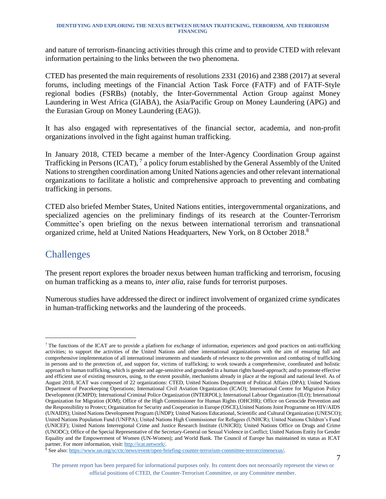and nature of terrorism-financing activities through this crime and to provide CTED with relevant information pertaining to the links between the two phenomena.

CTED has presented the main requirements of resolutions 2331 (2016) and 2388 (2017) at several forums, including meetings of the Financial Action Task Force (FATF) and of FATF-Style regional bodies (FSRBs) (notably, the Inter-Governmental Action Group against Money Laundering in West Africa (GIABA), the Asia/Pacific Group on Money Laundering (APG) and the Eurasian Group on Money Laundering (EAG)).

It has also engaged with representatives of the financial sector, academia, and non-profit organizations involved in the fight against human trafficking.

In January 2018, CTED became a member of the Inter-Agency Coordination Group against Trafficking in Persons (ICAT),  $^7$  a policy forum established by the General Assembly of the United Nations to strengthen coordination among United Nations agencies and other relevant international organizations to facilitate a holistic and comprehensive approach to preventing and combating trafficking in persons.

CTED also briefed Member States, United Nations entities, intergovernmental organizations, and specialized agencies on the preliminary findings of its research at the Counter-Terrorism Committee's open briefing on the nexus between international terrorism and transnational organized crime, held at United Nations Headquarters, New York, on 8 October 2018.<sup>8</sup>

# <span id="page-7-0"></span>Challenges

The present report explores the broader nexus between human trafficking and terrorism, focusing on human trafficking as a means to, *inter alia,* raise funds for terrorist purposes.

Numerous studies have addressed the direct or indirect involvement of organized crime syndicates in human-trafficking networks and the laundering of the proceeds.

l <sup>7</sup> The functions of the ICAT are to provide a platform for exchange of information, experiences and good practices on anti-trafficking activities; to support the activities of the United Nations and other international organizations with the aim of ensuring full and comprehensive implementation of all international instruments and standards of relevance to the prevention and combating of trafficking in persons and to the protection of, and support for, victims of trafficking; to work towards a comprehensive, coordinated and holistic approach to human trafficking, which is gender and age-sensitive and grounded in a human rights based-approach; and to promote effective and efficient use of existing resources, using, to the extent possible, mechanisms already in place at the regional and national level. As of August 2018, ICAT was composed of 22 organizations: CTED, United Nations Department of Political Affairs (DPA); United Nations Department of Peacekeeping Operations; International Civil Aviation Organization (ICAO); International Centre for Migration Policy Development (ICMPD); International Criminal Police Organization (INTERPOL); International Labour Organization (ILO); International Organization for Migration (IOM); Office of the High Commissioner for Human Rights (OHCHR); Office on Genocide Prevention and the Responsibility to Protect; Organization for Security and Cooperation in Europe (OSCE),United Nations Joint Programme on HIV/AIDS (UNAIDS); United Nations Development Program (UNDP); United Nations Educational, Scientific and Cultural Organization (UNESCO); United Nations Population Fund (UNFPA); United Nations High Commissioner for Refugees (UNHCR); United Nations Children's Fund (UNICEF); United Nations Interregional Crime and Justice Research Institute (UNICRI); United Nations Office on Drugs and Crime (UNODC); Office of the Special Representative of the Secretary-General on Sexual Violence in Conflict; United Nations Entity for Gender Equality and the Empowerment of Women (UN-Women); and World Bank. The Council of Europe has maintained its status as ICAT partner. For more information, visit[: http://icat.network/.](http://icat.network/) 

<sup>&</sup>lt;sup>8</sup> See also[: https://www.un.org/sc/ctc/news/event/open-briefing-counter-terrorism-committee-terrorcrimenexus/.](https://www.un.org/sc/ctc/news/event/open-briefing-counter-terrorism-committee-terrorcrimenexus/)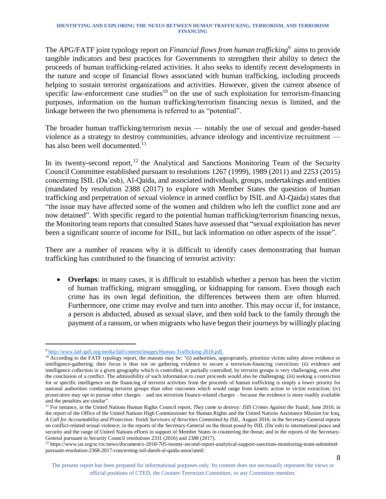The APG/FATF joint typology report on *Financial flows from human trafficking*<sup>9</sup> aims to provide tangible indicators and best practices for Governments to strengthen their ability to detect the proceeds of human trafficking-related activities. It also seeks to identify recent developments in the nature and scope of financial flows associated with human trafficking, including proceeds helping to sustain terrorist organizations and activities. However, given the current absence of specific law-enforcement case studies<sup>10</sup> on the use of such exploitation for terrorism-financing purposes, information on the human trafficking/terrorism financing nexus is limited, and the linkage between the two phenomena is referred to as "potential".

The broader human trafficking/terrorism nexus — notably the use of sexual and gender-based violence as a strategy to destroy communities, advance ideology and incentivize recruitment has also been well documented.<sup>11</sup>

In its twenty-second report,  $12$  the Analytical and Sanctions Monitoring Team of the Security Council Committee established pursuant to resolutions 1267 (1999), 1989 (2011) and 2253 (2015) concerning ISIL (Da'esh), Al-Qaida, and associated individuals, groups, undertakings and entities (mandated by resolution 2388 (2017) to explore with Member States the question of human trafficking and perpetration of sexual violence in armed conflict by ISIL and Al-Qaida) states that "the issue may have affected some of the women and children who left the conflict zone and are now detained". With specific regard to the potential human trafficking/terrorism financing nexus, the Monitoring team reports that consulted States have assessed that "sexual exploitation has never been a significant source of income for ISIL, but lack information on other aspects of the issue".

There are a number of reasons why it is difficult to identify cases demonstrating that human trafficking has contributed to the financing of terrorist activity:

• **Overlaps**: in many cases, it is difficult to establish whether a person has been the victim of human trafficking, migrant smuggling, or kidnapping for ransom. Even though each crime has its own legal definition, the differences between them are often blurred. Furthermore, one crime may evolve and turn into another. This may occur if, for instance, a person is abducted, abused as sexual slave, and then sold back to the family through the payment of a ransom, or when migrants who have begun their journeys by willingly placing

l <sup>9</sup> [http://www.fatf-gafi.org/media/fatf/content/images/Human-Trafficking-2018.pdf.](http://www.fatf-gafi.org/media/fatf/content/images/Human-Trafficking-2018.pdf)

<sup>&</sup>lt;sup>10</sup> According to the FATF typology report, the reasons may be: "(i) authorities, appropriately, prioritize victim safety above evidence or intelligence-gathering; their focus is thus not on gathering evidence to secure a terrorism-financing conviction; (ii) evidence and intelligence collection in a given geography which is controlled, or partially controlled, by terrorist groups is very challenging, even after the conclusion of a conflict. The admissibility of such information to court proceeds would also be challenging; (iii) seeking a conviction for or specific intelligence on the financing of terrorist activities from the proceeds of human trafficking is simply a lower priority for national authorities combatting terrorist groups than other outcomes which would range from kinetic action to victim extraction; (iv) prosecutors may opt to pursue other charges – and not terrorism finance-related charges – because the evidence is more readily available and the penalties are similar".

<sup>&</sup>lt;sup>11</sup> For instance, in the United Nations Human Rights Council report, *They came to destroy: ISIS Crimes Against the Yazidi*, June 2016; in the report of the Office of the United Nations High Commissioner for Human Rights and the United Nations Assistance Mission for Iraq, *A Call for Accountability and Protection: Yezidi Survivors of Atrocities Committed by ISIL,* August 2016; in the Secretary-General reports on conflict-related sexual violence; in the reports of the Secretary-General on the threat posed by ISIL (Da'esh) to international peace and security and the range of United Nations efforts in support of Member States in countering the threat; and in the reports of the Secretary-General pursuant to Security Council resolutions 2331 (2016) and 2388 (2017).

<sup>12</sup> https://www.un.org/sc/ctc/news/document/s-2018-705-twenty-second-report-analytical-support-sanctions-monitoring-team-submittedpursuant-resolution-2368-2017-concerning-isil-daesh-al-qaida-associated/.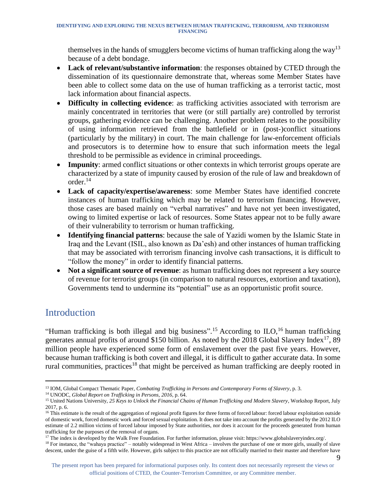themselves in the hands of smugglers become victims of human trafficking along the way<sup>13</sup> because of a debt bondage.

- **Lack of relevant/substantive information**: the responses obtained by CTED through the dissemination of its questionnaire demonstrate that, whereas some Member States have been able to collect some data on the use of human trafficking as a terrorist tactic, most lack information about financial aspects.
- **Difficulty in collecting evidence**: as trafficking activities associated with terrorism are mainly concentrated in territories that were (or still partially are) controlled by terrorist groups, gathering evidence can be challenging. Another problem relates to the possibility of using information retrieved from the battlefield or in (post-)conflict situations (particularly by the military) in court. The main challenge for law-enforcement officials and prosecutors is to determine how to ensure that such information meets the legal threshold to be permissible as evidence in criminal proceedings.
- **Impunity**: armed conflict situations or other contexts in which terrorist groups operate are characterized by a state of impunity caused by erosion of the rule of law and breakdown of order. 14
- **Lack of capacity/expertise/awareness**: some Member States have identified concrete instances of human trafficking which may be related to terrorism financing. However, those cases are based mainly on "verbal narratives" and have not yet been investigated, owing to limited expertise or lack of resources. Some States appear not to be fully aware of their vulnerability to terrorism or human trafficking.
- **Identifying financial patterns**: because the sale of Yazidi women by the Islamic State in Iraq and the Levant (ISIL, also known as Da'esh) and other instances of human trafficking that may be associated with terrorism financing involve cash transactions, it is difficult to "follow the money" in order to identify financial patterns.
- **Not a significant source of revenue**: as human trafficking does not represent a key source of revenue for terrorist groups (in comparison to natural resources, extortion and taxation), Governments tend to undermine its "potential" use as an opportunistic profit source.

# <span id="page-9-0"></span>Introduction

"Human trafficking is both illegal and big business".<sup>15</sup> According to ILO,<sup>16</sup> human trafficking generates annual profits of around \$150 billion. As noted by the 2018 Global Slavery Index<sup>17</sup>, 89 million people have experienced some form of enslavement over the past five years. However, because human trafficking is both covert and illegal, it is difficult to gather accurate data. In some rural communities, practices<sup>18</sup> that might be perceived as human trafficking are deeply rooted in

l <sup>13</sup> IOM, Global Compact Thematic Paper, *Combating Trafficking in Persons and Contemporary Forms of Slavery*, p. 3.

<sup>14</sup> UNODC, *Global Report on Trafficking in Persons, 2016*, p. 64.

<sup>15</sup> United Nations University, *25 Keys to Unlock the Financial Chains of Human Trafficking and Modern Slavery*, Workshop Report, July 2017, p. 6.

<sup>&</sup>lt;sup>16</sup> This estimate is the result of the aggregation of regional profit figures for three forms of forced labour: forced labour exploitation outside of domestic work, forced domestic work and forced sexual exploitation. It does not take into account the profits generated by the 2012 ILO estimate of 2.2 million victims of forced labour imposed by State authorities, nor does it account for the proceeds generated from human trafficking for the purposes of the removal of organs.

<sup>&</sup>lt;sup>17</sup> The index is developed by the Walk Free Foundation. For further information, please visit: https://www.globalslaveryindex.org/.

<sup>&</sup>lt;sup>18</sup> For instance, the "wahaya practice" – notably widespread in West Africa – involves the purchase of one or more girls, usually of slave descent, under the guise of a fifth wife. However, girls subject to this practice are not officially married to their master and therefore have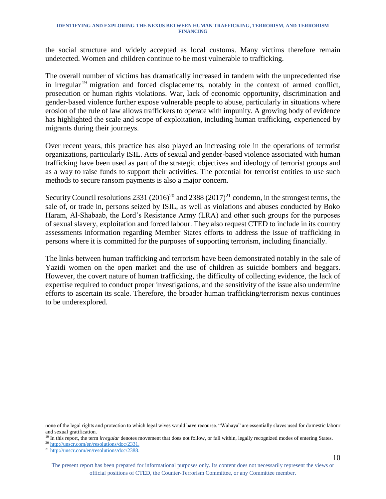the social structure and widely accepted as local customs. Many victims therefore remain undetected. Women and children continue to be most vulnerable to trafficking.

The overall number of victims has dramatically increased in tandem with the unprecedented rise in irregular<sup>19</sup> migration and forced displacements, notably in the context of armed conflict, prosecution or human rights violations. War, lack of economic opportunity, discrimination and gender-based violence further expose vulnerable people to abuse, particularly in situations where erosion of the rule of law allows traffickers to operate with impunity. A growing body of evidence has highlighted the scale and scope of exploitation, including human trafficking, experienced by migrants during their journeys.

Over recent years, this practice has also played an increasing role in the operations of terrorist organizations, particularly ISIL. Acts of sexual and gender-based violence associated with human trafficking have been used as part of the strategic objectives and ideology of terrorist groups and as a way to raise funds to support their activities. The potential for terrorist entities to use such methods to secure ransom payments is also a major concern.

Security Council resolutions 2331 (2016)<sup>20</sup> and 2388 (2017)<sup>21</sup> condemn, in the strongest terms, the sale of, or trade in, persons seized by ISIL, as well as violations and abuses conducted by Boko Haram, Al-Shabaab, the Lord's Resistance Army (LRA) and other such groups for the purposes of sexual slavery, exploitation and forced labour. They also request CTED to include in its country assessments information regarding Member States efforts to address the issue of trafficking in persons where it is committed for the purposes of supporting terrorism, including financially.

The links between human trafficking and terrorism have been demonstrated notably in the sale of Yazidi women on the open market and the use of children as suicide bombers and beggars. However, the covert nature of human trafficking, the difficulty of collecting evidence, the lack of expertise required to conduct proper investigations, and the sensitivity of the issue also undermine efforts to ascertain its scale. Therefore, the broader human trafficking/terrorism nexus continues to be underexplored.

none of the legal rights and protection to which legal wives would have recourse. "Wahaya" are essentially slaves used for domestic labour and sexual gratification.

<sup>&</sup>lt;sup>19</sup> In this report, the term *irregular* denotes movement that does not follow, or fall within, legally recognized modes of entering States.

<sup>20</sup> [http://unscr.com/en/resolutions/doc/2331.](http://unscr.com/en/resolutions/doc/2331)

<sup>&</sup>lt;sup>21</sup> [http://unscr.com/en/resolutions/doc/2388.](http://unscr.com/en/resolutions/doc/2388)

The present report has been prepared for informational purposes only. Its content does not necessarily represent the views or official positions of CTED, the Counter-Terrorism Committee, or any Committee member.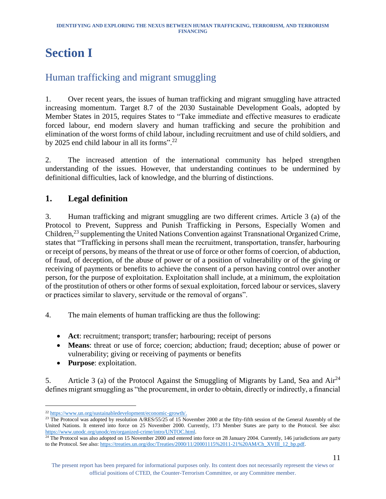# <span id="page-11-0"></span>**Section I**

# <span id="page-11-1"></span>Human trafficking and migrant smuggling

1. Over recent years, the issues of human trafficking and migrant smuggling have attracted increasing momentum. Target 8.7 of the 2030 Sustainable Development Goals, adopted by Member States in 2015, requires States to "Take immediate and effective measures to eradicate forced labour, end modern slavery and human trafficking and secure the prohibition and elimination of the worst forms of child labour, including recruitment and use of child soldiers, and by 2025 end child labour in all its forms".<sup>22</sup>

2. The increased attention of the international community has helped strengthen understanding of the issues. However, that understanding continues to be undermined by definitional difficulties, lack of knowledge, and the blurring of distinctions.

### <span id="page-11-2"></span>**1. Legal definition**

3. Human trafficking and migrant smuggling are two different crimes. Article 3 (a) of the Protocol to Prevent, Suppress and Punish Trafficking in Persons, Especially Women and Children,<sup>23</sup> supplementing the United Nations Convention against Transnational Organized Crime, states that "Trafficking in persons shall mean the recruitment, transportation, transfer, harbouring or receipt of persons, by means of the threat or use of force or other forms of coercion, of abduction, of fraud, of deception, of the abuse of power or of a position of vulnerability or of the giving or receiving of payments or benefits to achieve the consent of a person having control over another person, for the purpose of exploitation. Exploitation shall include, at a minimum, the exploitation of the prostitution of others or other forms of sexual exploitation, forced labour or services, slavery or practices similar to slavery, servitude or the removal of organs".

- 4. The main elements of human trafficking are thus the following:
	- **Act**: recruitment; transport; transfer; harbouring; receipt of persons
	- **Means**: threat or use of force; coercion; abduction; fraud; deception; abuse of power or vulnerability; giving or receiving of payments or benefits
	- **Purpose**: exploitation.

5. Article 3 (a) of the Protocol Against the Smuggling of Migrants by Land, Sea and Air<sup>24</sup> defines migrant smuggling as "the procurement, in order to obtain, directly or indirectly, a financial

l <sup>22</sup> [https://www.un.org/sustainabledevelopment/economic-growth/.](https://www.un.org/sustainabledevelopment/economic-growth/) 

<sup>&</sup>lt;sup>23</sup> The Protocol was adopted by resolution A/RES/55/25 of 15 November 2000 at the fifty-fifth session of the General Assembly of the United Nations. It entered into force on 25 November 2000. Currently, 173 Member States are party to the Protocol. See also: [https://www.unodc.org/unodc/en/organized-crime/intro/UNTOC.html.](https://www.unodc.org/unodc/en/organized-crime/intro/UNTOC.html) 

<sup>&</sup>lt;sup>24</sup> The Protocol was also adopted on 15 November 2000 and entered into force on 28 January 2004. Currently, 146 jurisdictions are party to the Protocol. See also: [https://treaties.un.org/doc/Treaties/2000/11/20001115%2011-21%20AM/Ch\\_XVIII\\_12\\_bp.pdf.](https://treaties.un.org/doc/Treaties/2000/11/20001115%2011-21%20AM/Ch_XVIII_12_bp.pdf)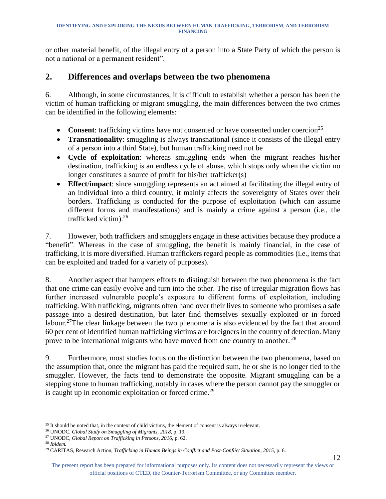or other material benefit, of the illegal entry of a person into a State Party of which the person is not a national or a permanent resident".

#### <span id="page-12-0"></span>**2. Differences and overlaps between the two phenomena**

6. Although, in some circumstances, it is difficult to establish whether a person has been the victim of human trafficking or migrant smuggling, the main differences between the two crimes can be identified in the following elements:

- **Consent**: trafficking victims have not consented or have consented under coercion<sup>25</sup>
- **Transnationality**: smuggling is always transnational (since it consists of the illegal entry of a person into a third State), but human trafficking need not be
- **Cycle of exploitation**: whereas smuggling ends when the migrant reaches his/her destination, trafficking is an endless cycle of abuse, which stops only when the victim no longer constitutes a source of profit for his/her trafficker(s)
- **Effect**/**impact**: since smuggling represents an act aimed at facilitating the illegal entry of an individual into a third country, it mainly affects the sovereignty of States over their borders. Trafficking is conducted for the purpose of exploitation (which can assume different forms and manifestations) and is mainly a crime against a person (i.e., the trafficked victim).<sup>26</sup>

7. However, both traffickers and smugglers engage in these activities because they produce a "benefit". Whereas in the case of smuggling, the benefit is mainly financial, in the case of trafficking, it is more diversified. Human traffickers regard people as commodities (i.e., items that can be exploited and traded for a variety of purposes).

8. Another aspect that hampers efforts to distinguish between the two phenomena is the fact that one crime can easily evolve and turn into the other. The rise of irregular migration flows has further increased vulnerable people's exposure to different forms of exploitation, including trafficking. With trafficking, migrants often hand over their lives to someone who promises a safe passage into a desired destination, but later find themselves sexually exploited or in forced labour.<sup>27</sup>The clear linkage between the two phenomena is also evidenced by the fact that around 60 per cent of identified human trafficking victims are foreigners in the country of detection. Many prove to be international migrants who have moved from one country to another.<sup>28</sup>

9. Furthermore, most studies focus on the distinction between the two phenomena, based on the assumption that, once the migrant has paid the required sum, he or she is no longer tied to the smuggler. However, the facts tend to demonstrate the opposite. Migrant smuggling can be a stepping stone to human trafficking, notably in cases where the person cannot pay the smuggler or is caught up in economic exploitation or forced crime.<sup>29</sup>

l

The present report has been prepared for informational purposes only. Its content does not necessarily represent the views or official positions of CTED, the Counter-Terrorism Committee, or any Committee member.

<sup>&</sup>lt;sup>25</sup> It should be noted that, in the context of child victims, the element of consent is always irrelevant.

<sup>26</sup> UNODC, *Global Study on Smuggling of Migrants, 2018*, p. 19.

<sup>27</sup> UNODC, *Global Report on Trafficking in Persons, 2016,* p. 62.

<sup>28</sup> *Ibidem.*

<sup>29</sup> CARITAS, Research Action, *Trafficking in Human Beings in Conflict and Post-Conflict Situation, 2015*, p. 6.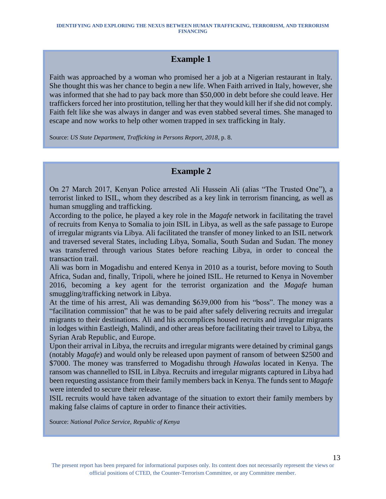### **Example 1**

Faith was approached by a woman who promised her a job at a Nigerian restaurant in Italy. She thought this was her chance to begin a new life. When Faith arrived in Italy, however, she was informed that she had to pay back more than \$50,000 in debt before she could leave. Her traffickers forced her into prostitution, telling her that they would kill her if she did not comply. Faith felt like she was always in danger and was even stabbed several times. She managed to escape and now works to help other women trapped in sex trafficking in Italy.

Source: *US State Department, Trafficking in Persons Report, 2018*, p. 8.

### **Example 2**

On 27 March 2017, Kenyan Police arrested Ali Hussein Ali (alias "The Trusted One"), a terrorist linked to ISIL, whom they described as a key link in terrorism financing, as well as human smuggling and trafficking.

According to the police, he played a key role in the *Magafe* network in facilitating the travel of recruits from Kenya to Somalia to join ISIL in Libya, as well as the safe passage to Europe of irregular migrants via Libya. Ali facilitated the transfer of money linked to an ISIL network and traversed several States, including Libya, Somalia, South Sudan and Sudan. The money was transferred through various States before reaching Libya, in order to conceal the transaction trail.

Ali was born in Mogadishu and entered Kenya in 2010 as a tourist, before moving to South Africa, Sudan and, finally, Tripoli, where he joined ISIL. He returned to Kenya in November 2016, becoming a key agent for the terrorist organization and the *Magafe* human smuggling/trafficking network in Libya.

At the time of his arrest, Ali was demanding \$639,000 from his "boss". The money was a "facilitation commission" that he was to be paid after safely delivering recruits and irregular migrants to their destinations. Ali and his accomplices housed recruits and irregular migrants in lodges within Eastleigh, Malindi, and other areas before facilitating their travel to Libya, the Syrian Arab Republic, and Europe.

Upon their arrival in Libya, the recruits and irregular migrants were detained by criminal gangs (notably *Magafe*) and would only be released upon payment of ransom of between \$2500 and \$7000. The money was transferred to Mogadishu through *Hawalas* located in Kenya. The ransom was channelled to ISIL in Libya. Recruits and irregular migrants captured in Libya had been requesting assistance from their family members back in Kenya. The funds sent to *Magafe* were intended to secure their release.

ISIL recruits would have taken advantage of the situation to extort their family members by making false claims of capture in order to finance their activities.

Source: *National Police Service, Republic of Kenya*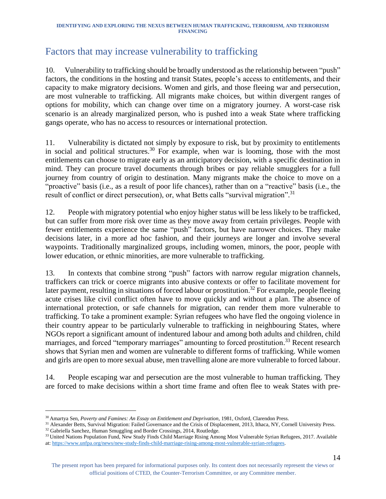# <span id="page-14-0"></span>Factors that may increase vulnerability to trafficking

10. Vulnerability to trafficking should be broadly understood as the relationship between "push" factors, the conditions in the hosting and transit States, people's access to entitlements, and their capacity to make migratory decisions. Women and girls, and those fleeing war and persecution, are most vulnerable to trafficking. All migrants make choices, but within divergent ranges of options for mobility, which can change over time on a migratory journey. A worst-case risk scenario is an already marginalized person, who is pushed into a weak State where trafficking gangs operate, who has no access to resources or international protection.

11. Vulnerability is dictated not simply by exposure to risk, but by proximity to entitlements in social and political structures.<sup>30</sup> For example, when war is looming, those with the most entitlements can choose to migrate early as an anticipatory decision, with a specific destination in mind. They can procure travel documents through bribes or pay reliable smugglers for a full journey from country of origin to destination. Many migrants make the choice to move on a "proactive" basis (i.e., as a result of poor life chances), rather than on a "reactive" basis (i.e., the result of conflict or direct persecution), or, what Betts calls "survival migration".<sup>31</sup>

12. People with migratory potential who enjoy higher status will be less likely to be trafficked, but can suffer from more risk over time as they move away from certain privileges. People with fewer entitlements experience the same "push" factors, but have narrower choices. They make decisions later, in a more ad hoc fashion, and their journeys are longer and involve several waypoints. Traditionally marginalized groups, including women, minors, the poor, people with lower education, or ethnic minorities, are more vulnerable to trafficking.

13. In contexts that combine strong "push" factors with narrow regular migration channels, traffickers can trick or coerce migrants into abusive contexts or offer to facilitate movement for later payment, resulting in situations of forced labour or prostitution.<sup>32</sup> For example, people fleeing acute crises like civil conflict often have to move quickly and without a plan. The absence of international protection, or safe channels for migration, can render them more vulnerable to trafficking. To take a prominent example: Syrian refugees who have fled the ongoing violence in their country appear to be particularly vulnerable to trafficking in neighbouring States, where NGOs report a significant amount of indentured labour and among both adults and children, child marriages, and forced "temporary marriages" amounting to forced prostitution.<sup>33</sup> Recent research shows that Syrian men and women are vulnerable to different forms of trafficking. While women and girls are open to more sexual abuse, men travelling alone are more vulnerable to forced labour.

14. People escaping war and persecution are the most vulnerable to human trafficking. They are forced to make decisions within a short time frame and often flee to weak States with pre-

l <sup>30</sup>Amartya Sen, *Poverty and Famines: An Essay on Entitlement and Deprivation*, 1981, Oxford, Clarendon Press.

<sup>&</sup>lt;sup>31</sup> Alexander Betts, Survival Migration: Failed Governance and the Crisis of Displacement, 2013, Ithaca, NY, Cornell University Press. <sup>32</sup> Gabriella Sanchez, Human Smuggling and Border Crossings, 2014, Routledge.

<sup>&</sup>lt;sup>33</sup> United Nations Population Fund, New Study Finds Child Marriage Rising Among Most Vulnerable Syrian Refugees, 2017. Available at[: https://www.unfpa.org/news/new-study-finds-child-marriage-rising-among-most-vulnerable-syrian-refugees.](https://www.unfpa.org/news/new-study-finds-child-marriage-rising-among-most-vulnerable-syrian-refugees)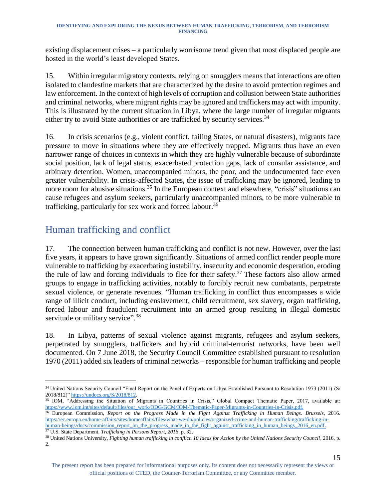existing displacement crises – a particularly worrisome trend given that most displaced people are hosted in the world's least developed States.

15. Within irregular migratory contexts, relying on smugglers means that interactions are often isolated to clandestine markets that are characterized by the desire to avoid protection regimes and law enforcement. In the context of high levels of corruption and collusion between State authorities and criminal networks, where migrant rights may be ignored and traffickers may act with impunity. This is illustrated by the current situation in Libya, where the large number of irregular migrants either try to avoid State authorities or are trafficked by security services.<sup>34</sup>

16. In crisis scenarios (e.g., violent conflict, failing States, or natural disasters), migrants face pressure to move in situations where they are effectively trapped. Migrants thus have an even narrower range of choices in contexts in which they are highly vulnerable because of subordinate social position, lack of legal status, exacerbated protection gaps, lack of consular assistance, and arbitrary detention. Women, unaccompanied minors, the poor, and the undocumented face even greater vulnerability. In crisis-affected States, the issue of trafficking may be ignored, leading to more room for abusive situations.<sup>35</sup> In the European context and elsewhere, "crisis" situations can cause refugees and asylum seekers, particularly unaccompanied minors, to be more vulnerable to trafficking, particularly for sex work and forced labour.<sup>36</sup>

# <span id="page-15-0"></span>Human trafficking and conflict

17. The connection between human trafficking and conflict is not new. However, over the last five years, it appears to have grown significantly. Situations of armed conflict render people more vulnerable to trafficking by exacerbating instability, insecurity and economic desperation, eroding the rule of law and forcing individuals to flee for their safety.<sup>37</sup> These factors also allow armed groups to engage in trafficking activities, notably to forcibly recruit new combatants, perpetrate sexual violence, or generate revenues. "Human trafficking in conflict thus encompasses a wide range of illicit conduct, including enslavement, child recruitment, sex slavery, organ trafficking, forced labour and fraudulent recruitment into an armed group resulting in illegal domestic servitude or military service".<sup>38</sup>

18. In Libya, patterns of sexual violence against migrants, refugees and asylum seekers, perpetrated by smugglers, traffickers and hybrid criminal-terrorist networks, have been well documented. On 7 June 2018, the Security Council Committee established pursuant to resolution 1970 (2011) added six leaders of criminal networks – responsible for human trafficking and people

<sup>35</sup> IOM, "Addressing the Situation of Migrants in Countries in Crisis," Global Compact Thematic Paper, 2017, available at: [https://www.iom.int/sites/default/files/our\\_work/ODG/GCM/IOM-Thematic-Paper-Migrants-in-Countries-in-Crisis.pdf.](https://www.iom.int/sites/default/files/our_work/ODG/GCM/IOM-Thematic-Paper-Migrants-in-Countries-in-Crisis.pdf)

<sup>36</sup> European Commission, *Report on the Progress Made in the Fight Against Trafficking in Human Beings. Brussels*, 2016. [https://ec.europa.eu/home-affairs/sites/homeaffairs/files/what-we-do/policies/organized-crime-and-human-trafficking/trafficking-in](https://ec.europa.eu/home-affairs/sites/homeaffairs/files/what-we-do/policies/organized-crime-and-human-trafficking/trafficking-in-human-beings/docs/commission_report_on_the_progress_made_in_the_fight_against_trafficking_in_human_beings_2016_en.pdf)[human-beings/docs/commission\\_report\\_on\\_the\\_progress\\_made\\_in\\_the\\_fight\\_against\\_trafficking\\_in\\_human\\_beings\\_2016\\_en.pdf.](https://ec.europa.eu/home-affairs/sites/homeaffairs/files/what-we-do/policies/organized-crime-and-human-trafficking/trafficking-in-human-beings/docs/commission_report_on_the_progress_made_in_the_fight_against_trafficking_in_human_beings_2016_en.pdf)

<sup>37</sup> U.S. State Department, *Trafficking in Persons Report, 2016*, p. 32.

l <sup>34</sup> United Nations Security Council "Final Report on the Panel of Experts on Libya Established Pursuant to Resolution 1973 (2011) (S/ 2018/812)" [https://undocs.org/S/2018/812.](https://undocs.org/S/2018/812) 

<sup>&</sup>lt;sup>38</sup> United Nations University, *Fighting human trafficking in conflict, 10 Ideas for Action by the United Nations Security Council, 2016, p.* 2.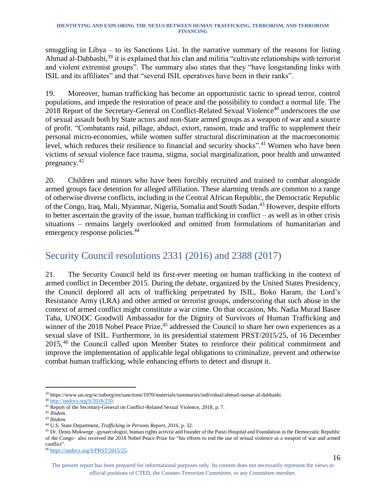smuggling in Libya – to its Sanctions List. In the narrative summary of the reasons for listing Ahmad al-Dabbashi,<sup>39</sup> it is explained that his clan and militia "cultivate relationships with terrorist and violent extremist groups". The summary also states that they "have longstanding links with ISIL and its affiliates" and that "several ISIL operatives have been in their ranks".

19. Moreover, human trafficking has become an opportunistic tactic to spread terror, control populations, and impede the restoration of peace and the possibility to conduct a normal life. The 2018 Report of the Secretary-General on Conflict-Related Sexual Violence<sup>40</sup> underscores the use of sexual assault both by State actors and non-State armed groups as a weapon of war and a source of profit. "Combatants raid, pillage, abduct, extort, ransom, trade and traffic to supplement their personal micro-economies, while women suffer structural discrimination at the macroeconomic level, which reduces their resilience to financial and security shocks".<sup>41</sup> Women who have been victims of sexual violence face trauma, stigma, social marginalization, poor health and unwanted pregnancy. 42

20. Children and minors who have been forcibly recruited and trained to combat alongside armed groups face detention for alleged affiliation. These alarming trends are common to a range of otherwise diverse conflicts, including in the Central African Republic, the Democratic Republic of the Congo, Iraq, Mali, Myanmar, Nigeria, Somalia and South Sudan. <sup>43</sup> However, despite efforts to better ascertain the gravity of the issue, human trafficking in conflict – as well as in other crisis situations – remains largely overlooked and omitted from formulations of humanitarian and emergency response policies.<sup>44</sup>

# <span id="page-16-0"></span>Security Council resolutions 2331 (2016) and 2388 (2017)

21. The Security Council held its first-ever meeting on human trafficking in the context of armed conflict in December 2015. During the debate, organized by the United States Presidency, the Council deplored all acts of trafficking perpetrated by ISIL, Boko Haram, the Lord's Resistance Army (LRA) and other armed or terrorist groups, underscoring that such abuse in the context of armed conflict might constitute a war crime. On that occasion, Ms. Nadia Murad Basee Taha, UNODC Goodwill Ambassador for the Dignity of Survivors of Human Trafficking and winner of the 2018 Nobel Peace Prize,<sup>45</sup> addressed the Council to share her own experiences as a sexual slave of ISIL. Furthermore, in its presidential statement PRST/2015/25, of 16 December 2015, <sup>46</sup> the Council called upon Member States to reinforce their political commitment and improve the implementation of applicable legal obligations to criminalize, prevent and otherwise combat human trafficking, while enhancing efforts to detect and disrupt it.

l <sup>39</sup> https://www.un.org/sc/suborg/en/sanctions/1970/materials/summaries/individual/ahmad-oumar-al-dabbashi.

<sup>40</sup> [http://undocs.org/S/2018/250.](http://undocs.org/S/2018/250)

<sup>41</sup> Report of the Secretary-General on Conflict-Related Sexual Violence, 2018, p. 7.

<sup>42</sup> *Ibidem.*

<sup>43</sup> *Ibidem.*

<sup>44</sup> U.S. State Department, *Trafficking in Persons Report, 2016*, p. 32.

<sup>45</sup> Dr. Denis Mukwege –gynaecologist, human rights activist and founder of the Panzi Hospital and Foundation in the Democratic Republic of the Congo– also received the 2018 Nobel Peace Prize for "his efforts to end the use of sexual violence as a weapon of war and armed conflict".

<sup>46</sup> [https://undocs.org/S/PRST/2015/25.](https://undocs.org/S/PRST/2015/25)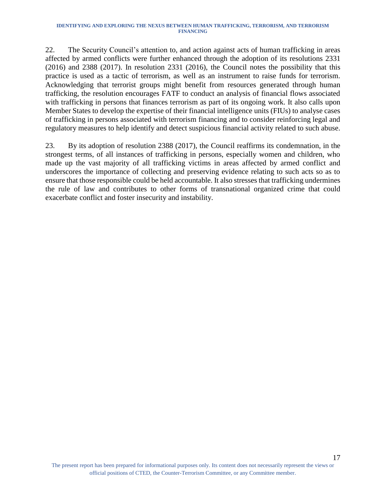22. The Security Council's attention to, and action against acts of human trafficking in areas affected by armed conflicts were further enhanced through the adoption of its resolutions 2331 (2016) and 2388 (2017). In resolution 2331 (2016), the Council notes the possibility that this practice is used as a tactic of terrorism, as well as an instrument to raise funds for terrorism. Acknowledging that terrorist groups might benefit from resources generated through human trafficking, the resolution encourages FATF to conduct an analysis of financial flows associated with trafficking in persons that finances terrorism as part of its ongoing work. It also calls upon Member States to develop the expertise of their financial intelligence units (FIUs) to analyse cases of trafficking in persons associated with terrorism financing and to consider reinforcing legal and regulatory measures to help identify and detect suspicious financial activity related to such abuse.

23. By its adoption of resolution 2388 (2017), the Council reaffirms its condemnation, in the strongest terms, of all instances of trafficking in persons, especially women and children, who made up the vast majority of all trafficking victims in areas affected by armed conflict and underscores the importance of collecting and preserving evidence relating to such acts so as to ensure that those responsible could be held accountable. It also stresses that trafficking undermines the rule of law and contributes to other forms of transnational organized crime that could exacerbate conflict and foster insecurity and instability.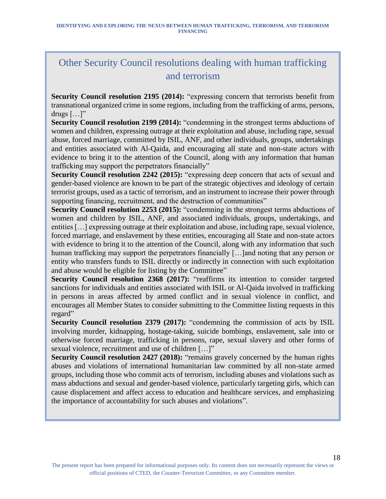# Other Security Council resolutions dealing with human trafficking and terrorism

**Security Council resolution 2195 (2014):** "expressing concern that terrorists benefit from transnational organized crime in some regions, including from the trafficking of arms, persons, drugs  $[\dots]$ "

**Security Council resolution 2199 (2014):** "condemning in the strongest terms abductions of women and children, expressing outrage at their exploitation and abuse, including rape, sexual abuse, forced marriage, committed by ISIL, ANF, and other individuals, groups, undertakings and entities associated with Al-Qaida, and encouraging all state and non-state actors with evidence to bring it to the attention of the Council, along with any information that human trafficking may support the perpetrators financially"

**Security Council resolution 2242 (2015):** "expressing deep concern that acts of sexual and gender-based violence are known to be part of the strategic objectives and ideology of certain terrorist groups, used as a tactic of terrorism, and an instrument to increase their power through supporting financing, recruitment, and the destruction of communities"

**Security Council resolution 2253 (2015):** "condemning in the strongest terms abductions of women and children by ISIL, ANF, and associated individuals, groups, undertakings, and entities […] expressing outrage at their exploitation and abuse, including rape, sexual violence, forced marriage, and enslavement by these entities, encouraging all State and non-state actors with evidence to bring it to the attention of the Council, along with any information that such human trafficking may support the perpetrators financially [...] and noting that any person or entity who transfers funds to ISIL directly or indirectly in connection with such exploitation and abuse would be eligible for listing by the Committee"

**Security Council resolution 2368 (2017):** "reaffirms its intention to consider targeted sanctions for individuals and entities associated with ISIL or Al-Qaida involved in trafficking in persons in areas affected by armed conflict and in sexual violence in conflict, and encourages all Member States to consider submitting to the Committee listing requests in this regard"

**Security Council resolution 2379 (2017):** "condemning the commission of acts by ISIL involving murder, kidnapping, hostage-taking, suicide bombings, enslavement, sale into or otherwise forced marriage, trafficking in persons, rape, sexual slavery and other forms of sexual violence, recruitment and use of children […]"

**Security Council resolution 2427 (2018):** "remains gravely concerned by the human rights abuses and violations of international humanitarian law committed by all non-state armed groups, including those who commit acts of terrorism, including abuses and violations such as mass abductions and sexual and gender-based violence, particularly targeting girls, which can cause displacement and affect access to education and healthcare services, and emphasizing the importance of accountability for such abuses and violations".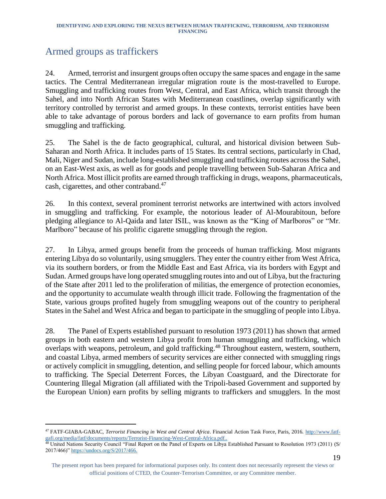# <span id="page-19-0"></span>Armed groups as traffickers

l

24. Armed, terrorist and insurgent groups often occupy the same spaces and engage in the same tactics. The Central Mediterranean irregular migration route is the most-travelled to Europe. Smuggling and trafficking routes from West, Central, and East Africa, which transit through the Sahel, and into North African States with Mediterranean coastlines, overlap significantly with territory controlled by terrorist and armed groups. In these contexts, terrorist entities have been able to take advantage of porous borders and lack of governance to earn profits from human smuggling and trafficking.

25. The Sahel is the de facto geographical, cultural, and historical division between Sub-Saharan and North Africa. It includes parts of 15 States. Its central sections, particularly in Chad, Mali, Niger and Sudan, include long-established smuggling and trafficking routes across the Sahel, on an East-West axis, as well as for goods and people travelling between Sub-Saharan Africa and North Africa. Most illicit profits are earned through trafficking in drugs, weapons, pharmaceuticals, cash, cigarettes, and other contraband.<sup>47</sup>

26. In this context, several prominent terrorist networks are intertwined with actors involved in smuggling and trafficking. For example, the notorious leader of Al-Mourabitoun, before pledging allegiance to Al-Qaida and later ISIL, was known as the "King of Marlboros" or "Mr. Marlboro" because of his prolific cigarette smuggling through the region.

27. In Libya, armed groups benefit from the proceeds of human trafficking. Most migrants entering Libya do so voluntarily, using smugglers. They enter the country either from West Africa, via its southern borders, or from the Middle East and East Africa, via its borders with Egypt and Sudan. Armed groups have long operated smuggling routes into and out of Libya, but the fracturing of the State after 2011 led to the proliferation of militias, the emergence of protection economies, and the opportunity to accumulate wealth through illicit trade. Following the fragmentation of the State, various groups profited hugely from smuggling weapons out of the country to peripheral States in the Sahel and West Africa and began to participate in the smuggling of people into Libya.

28. The Panel of Experts established pursuant to resolution 1973 (2011) has shown that armed groups in both eastern and western Libya profit from human smuggling and trafficking, which overlaps with weapons, petroleum, and gold trafficking.<sup>48</sup> Throughout eastern, western, southern, and coastal Libya, armed members of security services are either connected with smuggling rings or actively complicit in smuggling, detention, and selling people for forced labour, which amounts to trafficking. The Special Deterrent Forces, the Libyan Coastguard, and the Directorate for Countering Illegal Migration (all affiliated with the Tripoli-based Government and supported by the European Union) earn profits by selling migrants to traffickers and smugglers. In the most

<sup>47</sup> FATF-GIABA-GABAC, *Terrorist Financing in West and Central Africa*. Financial Action Task Force, Paris, 2016. [http://www.fatf](http://www.fatf-gafi.org/media/fatf/documents/reports/Terrorist-Financing-West-Central-Africa.pdf)[gafi.org/media/fatf/documents/reports/Terrorist-Financing-West-Central-Africa.pdf.](http://www.fatf-gafi.org/media/fatf/documents/reports/Terrorist-Financing-West-Central-Africa.pdf).

<sup>48</sup> United Nations Security Council "Final Report on the Panel of Experts on Libya Established Pursuant to Resolution 1973 (2011) (S/ 2017/466)" [https://undocs.org/S/2017/466.](https://undocs.org/S/2017/466)

The present report has been prepared for informational purposes only. Its content does not necessarily represent the views or official positions of CTED, the Counter-Terrorism Committee, or any Committee member.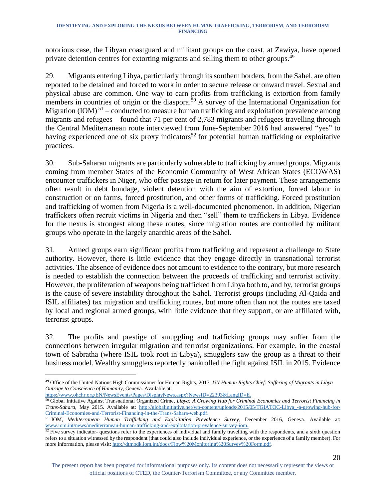notorious case, the Libyan coastguard and militant groups on the coast, at Zawiya, have opened private detention centres for extorting migrants and selling them to other groups.<sup>49</sup>

29. Migrants entering Libya, particularly through its southern borders, from the Sahel, are often reported to be detained and forced to work in order to secure release or onward travel. Sexual and physical abuse are common. One way to earn profits from trafficking is extortion from family members in countries of origin or the diaspora.<sup>50</sup> A survey of the International Organization for Migration  $(IOM)^{51}$  – conducted to measure human trafficking and exploitation prevalence among migrants and refugees – found that 71 per cent of 2,783 migrants and refugees travelling through the Central Mediterranean route interviewed from June-September 2016 had answered "yes" to having experienced one of six proxy indicators<sup>52</sup> for potential human trafficking or exploitative practices.

30. Sub-Saharan migrants are particularly vulnerable to trafficking by armed groups. Migrants coming from member States of the Economic Community of West African States (ECOWAS) encounter traffickers in Niger, who offer passage in return for later payment. These arrangements often result in debt bondage, violent detention with the aim of extortion, forced labour in construction or on farms, forced prostitution, and other forms of trafficking. Forced prostitution and trafficking of women from Nigeria is a well-documented phenomenon. In addition, Nigerian traffickers often recruit victims in Nigeria and then "sell" them to traffickers in Libya. Evidence for the nexus is strongest along these routes, since migration routes are controlled by militant groups who operate in the largely anarchic areas of the Sahel.

31. Armed groups earn significant profits from trafficking and represent a challenge to State authority. However, there is little evidence that they engage directly in transnational terrorist activities. The absence of evidence does not amount to evidence to the contrary, but more research is needed to establish the connection between the proceeds of trafficking and terrorist activity. However, the proliferation of weapons being trafficked from Libya both to, and by, terrorist groups is the cause of severe instability throughout the Sahel. Terrorist groups (including Al-Qaida and ISIL affiliates) tax migration and trafficking routes, but more often than not the routes are taxed by local and regional armed groups, with little evidence that they support, or are affiliated with, terrorist groups.

32. The profits and prestige of smuggling and trafficking groups may suffer from the connections between irregular migration and terrorist organizations. For example, in the coastal town of Sabratha (where ISIL took root in Libya), smugglers saw the group as a threat to their business model. Wealthy smugglers reportedly bankrolled the fight against ISIL in 2015. Evidence

[https://www.ohchr.org/EN/NewsEvents/Pages/DisplayNews.aspx?NewsID=22393&LangID=E.](https://www.ohchr.org/EN/NewsEvents/Pages/DisplayNews.aspx?NewsID=22393&LangID=E)

l <sup>49</sup> Office of the United Nations High Commissioner for Human Rights, 2017. *UN Human Rights Chief: Suffering of Migrants in Libya Outrage to Conscience of Humanity*, Geneva. Available at:

<sup>50</sup> Global Initiative Against Transnational Organized Crime, *Libya: A Growing Hub for Criminal Economies and Terrorist Financing in Trans-Sahara*, May 2015. Available at: [http://globalinitiative.net/wp-content/uploads/2015/05/TGIATOC-Libya\\_-a-growing-hub-for-](http://globalinitiative.net/wp-content/uploads/2015/05/TGIATOC-Libya_-a-growing-hub-for-Criminal-Economies-and-Terrorist-Financing-in-the-Trans-Sahara-web.pdf)[Criminal-Economies-and-Terrorist-Financing-in-the-Trans-Sahara-web.pdf.](http://globalinitiative.net/wp-content/uploads/2015/05/TGIATOC-Libya_-a-growing-hub-for-Criminal-Economies-and-Terrorist-Financing-in-the-Trans-Sahara-web.pdf)

<sup>51</sup> IOM, *Mediterranean Human Trafficking and Exploitation Prevalence Survey*, December 2016, Geneva. Available at: [www.iom.int/news/mediterranean-human-trafficking-and-exploitation-prevalence-survey-iom.](http://www.iom.int/news/mediterranean-human-trafficking-and-exploitation-prevalence-survey-iom)

 $52$  Five survey indicator- questions refer to the experiences of individual and family travelling with the respondents, and a sixth question refers to a situation witnessed by the respondent (that could also include individual experience, or the experience of a family member). For more information, please visit[: http://dtmodk.iom.int/docs/Flow%20Monitoring%20Survey%20Form.pdf.](http://dtmodk.iom.int/docs/Flow%20Monitoring%20Survey%20Form.pdf)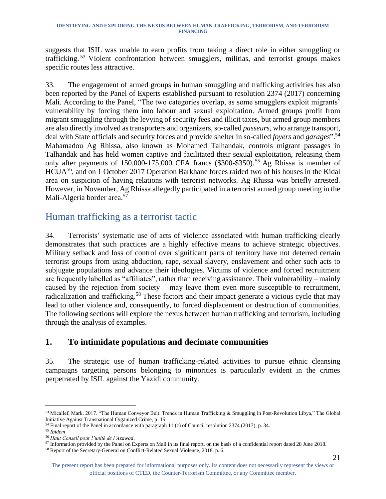suggests that ISIL was unable to earn profits from taking a direct role in either smuggling or trafficking.<sup>53</sup> Violent confrontation between smugglers, militias, and terrorist groups makes specific routes less attractive.

33. The engagement of armed groups in human smuggling and trafficking activities has also been reported by the Panel of Experts established pursuant to resolution 2374 (2017) concerning Mali. According to the Panel, "The two categories overlap, as some smugglers exploit migrants' vulnerability by forcing them into labour and sexual exploitation. Armed groups profit from migrant smuggling through the levying of security fees and illicit taxes, but armed group members are also directly involved as transporters and organizers, so-called *passeurs*, who arrange transport, deal with State officials and security forces and provide shelter in so-called *foyers* and *garages*". 54 Mahamadou Ag Rhissa, also known as Mohamed Talhandak, controls migrant passages in Talhandak and has held women captive and facilitated their sexual exploitation, releasing them only after payments of  $150,000-175,000$  CFA francs (\$300-\$350).<sup>55</sup> Ag Rhissa is member of HCUA<sup>56</sup>, and on 1 October 2017 Operation Barkhane forces raided two of his houses in the Kidal area on suspicion of having relations with terrorist networks. Ag Rhissa was briefly arrested. However, in November, Ag Rhissa allegedly participated in a terrorist armed group meeting in the Mali-Algeria border area. 57

### <span id="page-21-0"></span>Human trafficking as a terrorist tactic

34. Terrorists' systematic use of acts of violence associated with human trafficking clearly demonstrates that such practices are a highly effective means to achieve strategic objectives. Military setback and loss of control over significant parts of territory have not deterred certain terrorist groups from using abduction, rape, sexual slavery, enslavement and other such acts to subjugate populations and advance their ideologies. Victims of violence and forced recruitment are frequently labelled as "affiliates", rather than receiving assistance. Their vulnerability – mainly caused by the rejection from society – may leave them even more susceptible to recruitment, radicalization and trafficking.<sup>58</sup> These factors and their impact generate a vicious cycle that may lead to other violence and, consequently, to forced displacement or destruction of communities. The following sections will explore the nexus between human trafficking and terrorism, including through the analysis of examples.

### <span id="page-21-1"></span>**1. To intimidate populations and decimate communities**

35. The strategic use of human trafficking-related activities to pursue ethnic cleansing campaigns targeting persons belonging to minorities is particularly evident in the crimes perpetrated by ISIL against the Yazidi community.

<sup>53</sup> Micallef, Mark. 2017. "The Human Conveyor Belt: Trends in Human Trafficking & Smuggling in Post-Revolution Libya," The Global Initiative Against Transnational Organized Crime, p. 15.

<sup>&</sup>lt;sup>54</sup> Final report of the Panel in accordance with paragraph 11 (c) of Council resolution 2374 (2017), p. 34.

<sup>55</sup> *Ibidem*

<sup>56</sup> *Haut Conseil pour l'unité de l'Azawad*.

<sup>&</sup>lt;sup>57</sup> Information provided by the Panel on Experts on Mali in its final report, on the basis of a confidential report dated 28 June 2018.

<sup>58</sup> Report of the Secretary-General on Conflict-Related Sexual Violence, 2018, p. 6.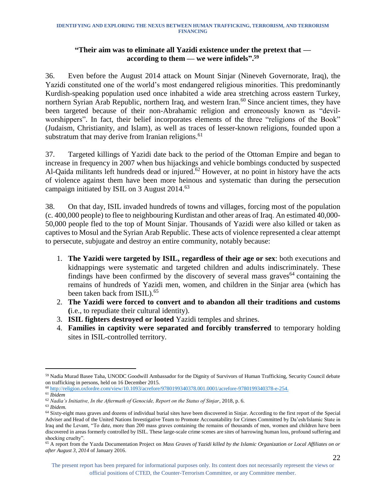#### **"Their aim was to eliminate all Yazidi existence under the pretext that according to them — we were infidels".<sup>59</sup>**

36. Even before the August 2014 attack on Mount Sinjar (Nineveh Governorate, Iraq), the Yazidi constituted one of the world's most endangered religious minorities. This predominantly Kurdish-speaking population used once inhabited a wide area stretching across eastern Turkey, northern Syrian Arab Republic, northern Iraq, and western Iran.<sup>60</sup> Since ancient times, they have been targeted because of their non-Abrahamic religion and erroneously known as "devilworshippers". In fact, their belief incorporates elements of the three "religions of the Book" (Judaism, Christianity, and Islam), as well as traces of lesser-known religions, founded upon a substratum that may derive from Iranian religions.<sup>61</sup>

37. Targeted killings of Yazidi date back to the period of the Ottoman Empire and began to increase in frequency in 2007 when bus hijackings and vehicle bombings conducted by suspected Al-Qaida militants left hundreds dead or injured.<sup>62</sup> However, at no point in history have the acts of violence against them have been more heinous and systematic than during the persecution campaign initiated by ISIL on 3 August 2014.<sup>63</sup>

38. On that day, ISIL invaded hundreds of towns and villages, forcing most of the population (c. 400,000 people) to flee to neighbouring Kurdistan and other areas of Iraq. An estimated 40,000- 50,000 people fled to the top of Mount Sinjar. Thousands of Yazidi were also killed or taken as captives to Mosul and the Syrian Arab Republic. These acts of violence represented a clear attempt to persecute, subjugate and destroy an entire community, notably because:

- 1. **The Yazidi were targeted by ISIL, regardless of their age or sex**: both executions and kidnappings were systematic and targeted children and adults indiscriminately. These findings have been confirmed by the discovery of several mass graves $64$  containing the remains of hundreds of Yazidi men, women, and children in the Sinjar area (which has been taken back from ISIL). 65
- 2. **The Yazidi were forced to convert and to abandon all their traditions and customs (**i.e., to repudiate their cultural identity).
- 3. **ISIL fighters destroyed or looted** Yazidi temples and shrines.
- 4. **Families in captivity were separated and forcibly transferred** to temporary holding sites in ISIL-controlled territory.

<sup>63</sup> *Ibidem.*

l <sup>59</sup> Nadia Murad Basee Taha, UNODC Goodwill Ambassador for the Dignity of Survivors of Human Trafficking, Security Council debate on trafficking in persons, held on 16 December 2015.

<sup>60</sup> [http://religion.oxfordre.com/view/10.1093/acrefore/9780199340378.001.0001/acrefore-9780199340378-e-254.](http://religion.oxfordre.com/view/10.1093/acrefore/9780199340378.001.0001/acrefore-9780199340378-e-254)

<sup>61</sup> *Ibidem*

<sup>62</sup> *Nadia's Initiative, In the Aftermath of Genocide, Report on the Status of Sinjar*, 2018, p. 6.

<sup>&</sup>lt;sup>64</sup> Sixty-eight mass graves and dozens of individual burial sites have been discovered in Sinjar. According to the first report of the Special Adviser and Head of the United Nations Investigative Team to Promote Accountability for Crimes Committed by Da'esh/Islamic State in Iraq and the Levant, "To date, more than 200 mass graves containing the remains of thousands of men, women and children have been discovered in areas formerly controlled by ISIL. These large-scale crime scenes are sites of harrowing human loss, profound suffering and shocking cruelty".

<sup>65</sup> A report from the Yazda Documentation Project on *Mass Graves of Yazidi killed by the Islamic Organization or Local Affiliates on or after August 3, 2014* of January 2016.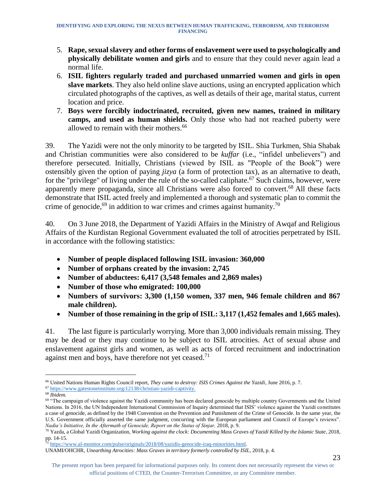- 5. **Rape, sexual slavery and other forms of enslavement were used to psychologically and physically debilitate women and girls** and to ensure that they could never again lead a normal life.
- 6. **ISIL fighters regularly traded and purchased unmarried women and girls in open slave markets**. They also held online slave auctions, using an encrypted application which circulated photographs of the captives, as well as details of their age, marital status, current location and price.
- 7. **Boys were forcibly indoctrinated, recruited, given new names, trained in military camps, and used as human shields.** Only those who had not reached puberty were allowed to remain with their mothers. 66

39. The Yazidi were not the only minority to be targeted by ISIL. Shia Turkmen, Shia Shabak and Christian communities were also considered to be *kuffar* (i.e., "infidel unbelievers") and therefore persecuted. Initially, Christians (viewed by ISIL as "People of the Book") were ostensibly given the option of paying *jizya* (a form of protection tax), as an alternative to death, for the "privilege" of living under the rule of the so-called caliphate.<sup>67</sup> Such claims, however, were apparently mere propaganda, since all Christians were also forced to convert.<sup>68</sup> All these facts demonstrate that ISIL acted freely and implemented a thorough and systematic plan to commit the crime of genocide,  $69$  in addition to war crimes and crimes against humanity.<sup>70</sup>

40. On 3 June 2018, the Department of Yazidi Affairs in the Ministry of Awqaf and Religious Affairs of the Kurdistan Regional Government evaluated the toll of atrocities perpetrated by ISIL in accordance with the following statistics:

- **Number of people displaced following ISIL invasion: 360,000**
- **Number of orphans created by the invasion: 2,745**
- **Number of abductees: 6,417 (3,548 females and 2,869 males)**
- **Number of those who emigrated: 100,000**
- **Numbers of survivors: 3,300 (1,150 women, 337 men, 946 female children and 867 male children).**
- **Number of those remaining in the grip of ISIL: 3,117 (1,452 females and 1,665 males).**

41. The last figure is particularly worrying. More than 3,000 individuals remain missing. They may be dead or they may continue to be subject to ISIL atrocities. Act of sexual abuse and enslavement against girls and women, as well as acts of forced recruitment and indoctrination against men and boys, have therefore not yet ceased.<sup>71</sup>

l <sup>66</sup> United Nations Human Rights Council report, *They came to destroy: ISIS Crimes Against the Yazidi*, June 2016, p. 7.

<sup>67</sup> [https://www.gatestoneinstitute.org/12138/christian-yazidi-captivity.](https://www.gatestoneinstitute.org/12138/christian-yazidi-captivity)

<sup>68</sup> *Ibidem.*

 $69$  "The campaign of violence against the Yazidi community has been declared genocide by multiple country Governments and the United Nations. In 2016, the UN Independent International Commission of Inquiry determined that ISIS' violence against the Yazidi constitutes a case of genocide, as defined by the 1948 Convention on the Prevention and Punishment of the Crime of Genocide. In the same year, the U.S. Government officially asserted the same judgment, concurring with the European parliament and Council of Europe's reviews". *Nadia's Initiative, In the Aftermath of Genocide, Report on the Status of Sinjar,* 2018, p. 9.

<sup>70</sup> Yazda, a Global Yazidi Organization, *Working against the clock: Documenting Mass Graves of Yazidi Killed by the Islamic State*, 2018, pp. 14-15.

<sup>71</sup> [https://www.al-monitor.com/pulse/originals/2018/08/yazidis-genocide-iraq-minorities.html.](https://www.al-monitor.com/pulse/originals/2018/08/yazidis-genocide-iraq-minorities.html)

UNAMI/OHCHR, *Unearthing Atrocities: Mass Graves in territory formerly controlled by ISIL*, 2018, p. 4.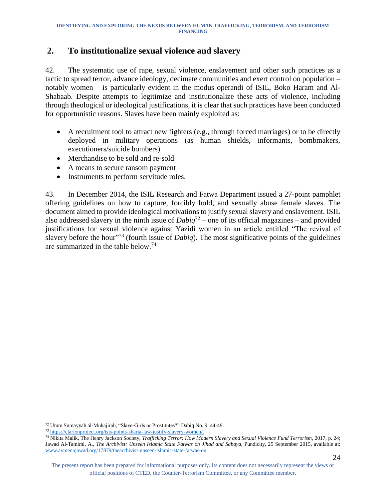#### <span id="page-24-0"></span>**2. To institutionalize sexual violence and slavery**

42. The systematic use of rape, sexual violence, enslavement and other such practices as a tactic to spread terror, advance ideology, decimate communities and exert control on population – notably women – is particularly evident in the modus operandi of ISIL, Boko Haram and Al-Shabaab. Despite attempts to legitimize and institutionalize these acts of violence, including through theological or ideological justifications, it is clear that such practices have been conducted for opportunistic reasons. Slaves have been mainly exploited as:

- A recruitment tool to attract new fighters (e.g., through forced marriages) or to be directly deployed in military operations (as human shields, informants, bombmakers, executioners/suicide bombers)
- Merchandise to be sold and re-sold
- A means to secure ransom payment
- Instruments to perform servitude roles.

43. In December 2014, the ISIL Research and Fatwa Department issued a 27-point pamphlet offering guidelines on how to capture, forcibly hold, and sexually abuse female slaves. The document aimed to provide ideological motivations to justify sexual slavery and enslavement. ISIL also addressed slavery in the ninth issue of *Dabiq*<sup>72</sup> – one of its official magazines – and provided justifications for sexual violence against Yazidi women in an article entitled "The revival of slavery before the hour<sup>"73</sup> (fourth issue of *Dabiq*). The most significative points of the guidelines are summarized in the table below. 74

<sup>72</sup> Umm Sumayyah al-Muhajirah, "Slave-Girls or Prostitutes?" Dabiq No. 9, 44-49.

<sup>73</sup> [https://clarionproject.org/isis-points-sharia-law-justify-slavery-women/.](https://clarionproject.org/isis-points-sharia-law-justify-slavery-women/)

<sup>74</sup> Nikita Malik, The Henry Jackson Society, *Trafficking Terror: How Modern Slavery and Sexual Violence Fund Terrorism*, 2017, p. 24; Jawad Al-Tamimi, A., *The Archivist: Unseen Islamic State Fatwas on Jihad and Sabaya,* Pundicity, 25 September 2015, available at: [www.aymennjawad.org/17879/thearchivist-unseen-islamic-state-fatwas-on.](http://www.aymennjawad.org/17879/thearchivist-unseen-islamic-state-fatwas-on) 

The present report has been prepared for informational purposes only. Its content does not necessarily represent the views or official positions of CTED, the Counter-Terrorism Committee, or any Committee member.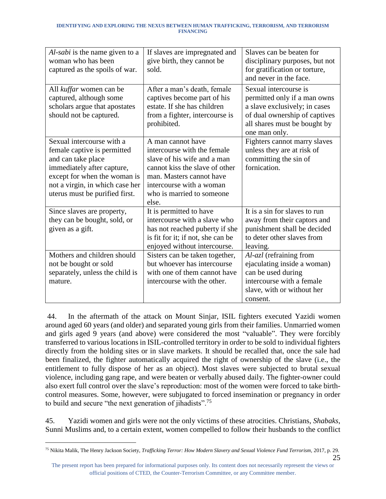| Al-sabi is the name given to a<br>woman who has been<br>captured as the spoils of war.                                                                                                                            | If slaves are impregnated and<br>give birth, they cannot be<br>sold.                                                                                                                                            | Slaves can be beaten for<br>disciplinary purposes, but not<br>for gratification or torture,<br>and never in the face.                                                    |
|-------------------------------------------------------------------------------------------------------------------------------------------------------------------------------------------------------------------|-----------------------------------------------------------------------------------------------------------------------------------------------------------------------------------------------------------------|--------------------------------------------------------------------------------------------------------------------------------------------------------------------------|
| All kuffar women can be<br>captured, although some<br>scholars argue that apostates<br>should not be captured.                                                                                                    | After a man's death, female<br>captives become part of his<br>estate. If she has children<br>from a fighter, intercourse is<br>prohibited.                                                                      | Sexual intercourse is<br>permitted only if a man owns<br>a slave exclusively; in cases<br>of dual ownership of captives<br>all shares must be bought by<br>one man only. |
| Sexual intercourse with a<br>female captive is permitted<br>and can take place<br>immediately after capture,<br>except for when the woman is<br>not a virgin, in which case her<br>uterus must be purified first. | A man cannot have<br>intercourse with the female<br>slave of his wife and a man<br>cannot kiss the slave of other<br>man. Masters cannot have<br>intercourse with a woman<br>who is married to someone<br>else. | Fighters cannot marry slaves<br>unless they are at risk of<br>committing the sin of<br>fornication.                                                                      |
| Since slaves are property,<br>they can be bought, sold, or<br>given as a gift.                                                                                                                                    | It is permitted to have<br>intercourse with a slave who<br>has not reached puberty if she<br>is fit for it; if not, she can be<br>enjoyed without intercourse.                                                  | It is a sin for slaves to run<br>away from their captors and<br>punishment shall be decided<br>to deter other slaves from<br>leaving.                                    |
| Mothers and children should<br>not be bought or sold<br>separately, unless the child is<br>mature.                                                                                                                | Sisters can be taken together,<br>but whoever has intercourse<br>with one of them cannot have<br>intercourse with the other.                                                                                    | Al-azl (refraining from<br>ejaculating inside a woman)<br>can be used during<br>intercourse with a female<br>slave, with or without her<br>consent.                      |

44. In the aftermath of the attack on Mount Sinjar, ISIL fighters executed Yazidi women around aged 60 years (and older) and separated young girls from their families. Unmarried women and girls aged 9 years (and above) were considered the most "valuable". They were forcibly transferred to various locations in ISIL-controlled territory in order to be sold to individual fighters directly from the holding sites or in slave markets. It should be recalled that, once the sale had been finalized, the fighter automatically acquired the right of ownership of the slave (i.e., the entitlement to fully dispose of her as an object). Most slaves were subjected to brutal sexual violence, including gang rape, and were beaten or verbally abused daily. The fighter-owner could also exert full control over the slave's reproduction: most of the women were forced to take birthcontrol measures. Some, however, were subjugated to forced insemination or pregnancy in order to build and secure "the next generation of jihadists".<sup>75</sup>

45. Yazidi women and girls were not the only victims of these atrocities. Christians, *Shabaks*, Sunni Muslims and, to a certain extent, women compelled to follow their husbands to the conflict

<sup>25</sup> <sup>75</sup> Nikita Malik, The Henry Jackson Society, *Trafficking Terror: How Modern Slavery and Sexual Violence Fund Terrorism,* 2017, p. 29.

The present report has been prepared for informational purposes only. Its content does not necessarily represent the views or official positions of CTED, the Counter-Terrorism Committee, or any Committee member.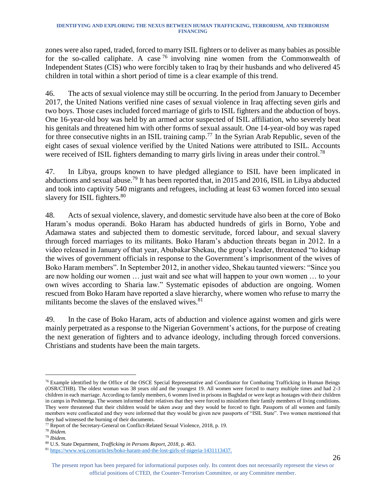zones were also raped, traded, forced to marry ISIL fighters or to deliver as many babies as possible for the so-called caliphate. A case  $^{76}$  involving nine women from the Commonwealth of Independent States (CIS) who were forcibly taken to Iraq by their husbands and who delivered 45 children in total within a short period of time is a clear example of this trend.

46. The acts of sexual violence may still be occurring. In the period from January to December 2017, the United Nations verified nine cases of sexual violence in Iraq affecting seven girls and two boys. Those cases included forced marriage of girls to ISIL fighters and the abduction of boys. One 16-year-old boy was held by an armed actor suspected of ISIL affiliation, who severely beat his genitals and threatened him with other forms of sexual assault. One 14-year-old boy was raped for three consecutive nights in an ISIL training camp.<sup>77</sup> In the Syrian Arab Republic, seven of the eight cases of sexual violence verified by the United Nations were attributed to ISIL. Accounts were received of ISIL fighters demanding to marry girls living in areas under their control.<sup>78</sup>

47. In Libya, groups known to have pledged allegiance to ISIL have been implicated in abductions and sexual abuse.<sup>79</sup> It has been reported that, in 2015 and 2016, ISIL in Libya abducted and took into captivity 540 migrants and refugees, including at least 63 women forced into sexual slavery for ISIL fighters.<sup>80</sup>

48. Acts of sexual violence, slavery, and domestic servitude have also been at the core of Boko Haram's modus operandi. Boko Haram has abducted hundreds of girls in Borno, Yobe and Adamawa states and subjected them to domestic servitude, forced labour, and sexual slavery through forced marriages to its militants. Boko Haram's abduction threats began in 2012. In a video released in January of that year, Abubakar Shekau, the group's leader, threatened "to kidnap the wives of government officials in response to the Government's imprisonment of the wives of Boko Haram members". In September 2012, in another video, Shekau taunted viewers: "Since you are now holding our women … just wait and see what will happen to your own women … to your own wives according to Sharia law." Systematic episodes of abduction are ongoing. Women rescued from Boko Haram have reported a slave hierarchy, where women who refuse to marry the militants become the slaves of the enslaved wives.<sup>81</sup>

49. In the case of Boko Haram, acts of abduction and violence against women and girls were mainly perpetrated as a response to the Nigerian Government's actions, for the purpose of creating the next generation of fighters and to advance ideology, including through forced conversions. Christians and students have been the main targets.

l <sup>76</sup> Example identified by the Office of the OSCE Special Representative and Coordinator for Combating Trafficking in Human Beings (OSR/CTHB). The oldest woman was 38 years old and the youngest 19. All women were forced to marry multiple times and had 2-3 children in each marriage. According to family members, 6 women lived in prisons in Baghdad or were kept as hostages with their children in camps in Peshmerga. The women informed their relatives that they were forced to misinform their family members of living conditions. They were threatened that their children would be taken away and they would be forced to fight. Passports of all women and family members were confiscated and they were informed that they would be given new passports of "ISIL State". Two women mentioned that they had witnessed the burning of their documents.

<sup>77</sup> Report of the Secretary-General on Conflict-Related Sexual Violence, 2018, p. 19.

<sup>78</sup> *Ibidem.* 

<sup>79</sup> *Ibidem.*

<sup>80</sup> U.S. State Department, *Trafficking in Persons Report, 2018*, p. 463.

<sup>81</sup> [https://www.wsj.com/articles/boko-haram-and-the-lost-girls-of-nigeria-1431113437.](https://www.wsj.com/articles/boko-haram-and-the-lost-girls-of-nigeria-1431113437)

The present report has been prepared for informational purposes only. Its content does not necessarily represent the views or official positions of CTED, the Counter-Terrorism Committee, or any Committee member.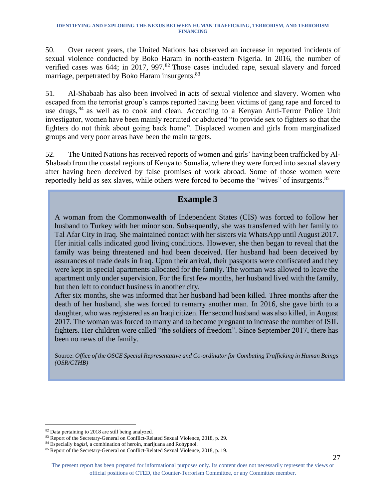50. Over recent years, the United Nations has observed an increase in reported incidents of sexual violence conducted by Boko Haram in north-eastern Nigeria. In 2016, the number of verified cases was 644; in 2017, 997.<sup>82</sup> Those cases included rape, sexual slavery and forced marriage, perpetrated by Boko Haram insurgents.<sup>83</sup>

51. Al-Shabaab has also been involved in acts of sexual violence and slavery. Women who escaped from the terrorist group's camps reported having been victims of gang rape and forced to use drugs, <sup>84</sup> as well as to cook and clean. According to a Kenyan Anti-Terror Police Unit investigator, women have been mainly recruited or abducted "to provide sex to fighters so that the fighters do not think about going back home". Displaced women and girls from marginalized groups and very poor areas have been the main targets.

52. The United Nations has received reports of women and girls' having been trafficked by Al-Shabaab from the coastal regions of Kenya to Somalia, where they were forced into sexual slavery after having been deceived by false promises of work abroad. Some of those women were reportedly held as sex slaves, while others were forced to become the "wives" of insurgents.<sup>85</sup>

### **Example 3**

A woman from the Commonwealth of Independent States (CIS) was forced to follow her husband to Turkey with her minor son. Subsequently, she was transferred with her family to Tal Afar City in Iraq. She maintained contact with her sisters via WhatsApp until August 2017. Her initial calls indicated good living conditions. However, she then began to reveal that the family was being threatened and had been deceived. Her husband had been deceived by assurances of trade deals in Iraq. Upon their arrival, their passports were confiscated and they were kept in special apartments allocated for the family. The woman was allowed to leave the apartment only under supervision. For the first few months, her husband lived with the family, but then left to conduct business in another city.

After six months, she was informed that her husband had been killed. Three months after the death of her husband, she was forced to remarry another man. In 2016, she gave birth to a daughter, who was registered as an Iraqi citizen. Her second husband was also killed, in August 2017. The woman was forced to marry and to become pregnant to increase the number of ISIL fighters. Her children were called "the soldiers of freedom". Since September 2017, there has been no news of the family.

Source: *Office of the OSCE Special Representative and Co-ordinator for Combating Trafficking in Human Beings (OSR/CTHB)* 

<sup>82</sup> Data pertaining to 2018 are still being analyzed.

<sup>83</sup> Report of the Secretary-General on Conflict-Related Sexual Violence, 2018, p. 29.

<sup>84</sup> Especially *bugizi*, a combination of heroin, marijuana and Rohypnol.

<sup>85</sup> Report of the Secretary-General on Conflict-Related Sexual Violence, 2018, p. 19.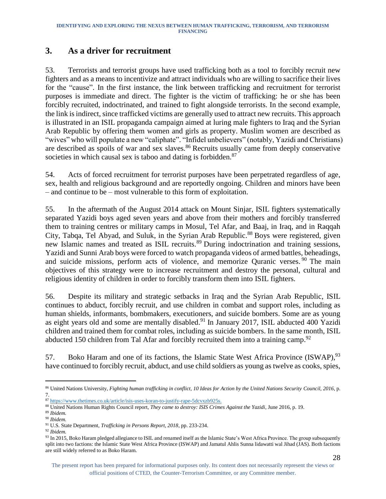#### <span id="page-28-0"></span>**3. As a driver for recruitment**

53. Terrorists and terrorist groups have used trafficking both as a tool to forcibly recruit new fighters and as a means to incentivize and attract individuals who are willing to sacrifice their lives for the "cause". In the first instance, the link between trafficking and recruitment for terrorist purposes is immediate and direct. The fighter is the victim of trafficking: he or she has been forcibly recruited, indoctrinated, and trained to fight alongside terrorists. In the second example, the link is indirect, since trafficked victims are generally used to attract new recruits. This approach is illustrated in an ISIL propaganda campaign aimed at luring male fighters to Iraq and the Syrian Arab Republic by offering them women and girls as property. Muslim women are described as "wives" who will populate a new "caliphate". "Infidel unbelievers" (notably, Yazidi and Christians) are described as spoils of war and sex slaves.<sup>86</sup> Recruits usually came from deeply conservative societies in which causal sex is taboo and dating is forbidden.<sup>87</sup>

54. Acts of forced recruitment for terrorist purposes have been perpetrated regardless of age, sex, health and religious background and are reportedly ongoing. Children and minors have been – and continue to be – most vulnerable to this form of exploitation.

55. In the aftermath of the August 2014 attack on Mount Sinjar, ISIL fighters systematically separated Yazidi boys aged seven years and above from their mothers and forcibly transferred them to training centres or military camps in Mosul, Tel Afar, and Baaj, in Iraq, and in Raqqah City, Tabqa, Tel Abyad, and Suluk, in the Syrian Arab Republic.<sup>88</sup> Boys were registered, given new Islamic names and treated as ISIL recruits.<sup>89</sup> During indoctrination and training sessions, Yazidi and Sunni Arab boys were forced to watch propaganda videos of armed battles, beheadings, and suicide missions, perform acts of violence, and memorize Quranic verses.<sup>90</sup> The main objectives of this strategy were to increase recruitment and destroy the personal, cultural and religious identity of children in order to forcibly transform them into ISIL fighters.

56. Despite its military and strategic setbacks in Iraq and the Syrian Arab Republic, ISIL continues to abduct, forcibly recruit, and use children in combat and support roles, including as human shields, informants, bombmakers, executioners, and suicide bombers. Some are as young as eight years old and some are mentally disabled.<sup>91</sup> In January 2017, ISIL abducted 400 Yazidi children and trained them for combat roles, including as suicide bombers. In the same month, ISIL abducted 150 children from Tal Afar and forcibly recruited them into a training camp.<sup>92</sup>

57. Boko Haram and one of its factions, the Islamic State West Africa Province (ISWAP),<sup>93</sup> have continued to forcibly recruit, abduct, and use child soldiers as young as twelve as cooks, spies,

l <sup>86</sup> United Nations University, *Fighting human trafficking in conflict, 10 Ideas for Action by the United Nations Security Council, 2016*, p. 7.

<sup>87</sup> [https://www.thetimes.co.uk/article/isis-uses-koran-to-justify-rape-5dcvxzb925s.](https://www.thetimes.co.uk/article/isis-uses-koran-to-justify-rape-5dcvxzb925s)

<sup>88</sup> United Nations Human Rights Council report, *They came to destroy: ISIS Crimes Against the Yazidi*, June 2016, p. 19.

<sup>89</sup> *Ibidem.*

<sup>90</sup> *Ibidem.*

<sup>91</sup> U.S. State Department, *Trafficking in Persons Report, 2018*, pp. 233-234.

<sup>92</sup> *Ibidem.*

<sup>93</sup> In 2015, Boko Haram pledged allegiance to ISIL and renamed itself as the Islamic State's West Africa Province. The group subsequently split into two factions: the Islamic State West Africa Province (ISWAP) and Jamatul Ahlis Sunna lidawatti wal Jihad (JAS). Both factions are still widely referred to as Boko Haram.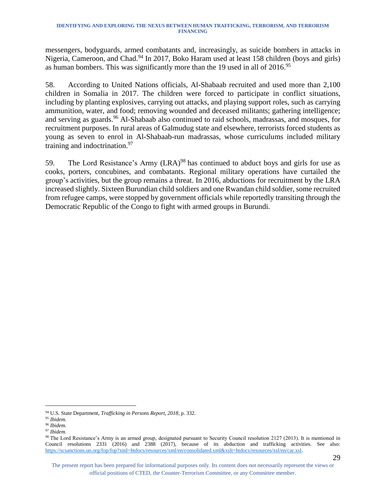messengers, bodyguards, armed combatants and, increasingly, as suicide bombers in attacks in Nigeria, Cameroon, and Chad.<sup>94</sup> In 2017, Boko Haram used at least 158 children (boys and girls) as human bombers. This was significantly more than the 19 used in all of 2016.<sup>95</sup>

58. According to United Nations officials, Al-Shabaab recruited and used more than 2,100 children in Somalia in 2017. The children were forced to participate in conflict situations, including by planting explosives, carrying out attacks, and playing support roles, such as carrying ammunition, water, and food; removing wounded and deceased militants; gathering intelligence; and serving as guards. <sup>96</sup> Al-Shabaab also continued to raid schools, madrassas, and mosques, for recruitment purposes. In rural areas of Galmudug state and elsewhere, terrorists forced students as young as seven to enrol in Al-Shabaab-run madrassas, whose curriculums included military training and indoctrination.<sup>97</sup>

59. The Lord Resistance's Army (LRA)<sup>98</sup> has continued to abduct boys and girls for use as cooks, porters, concubines, and combatants. Regional military operations have curtailed the group's activities, but the group remains a threat. In 2016, abductions for recruitment by the LRA increased slightly. Sixteen Burundian child soldiers and one Rwandan child soldier, some recruited from refugee camps, were stopped by government officials while reportedly transiting through the Democratic Republic of the Congo to fight with armed groups in Burundi.

<sup>94</sup> U.S. State Department, *Trafficking in Persons Report, 2018*, p. 332.

<sup>95</sup> *Ibidem.*

<sup>96</sup> *Ibidem.* 

<sup>97</sup> *Ibidem.*

<sup>98</sup> The Lord Resistance's Army is an armed group, designated pursuant to Security Council resolution 2127 (2013). It is mentioned in Council resolutions 2331 (2016) and 2388 (2017), because of its abduction and trafficking activities. See also: [https://scsanctions.un.org/fop/fop?xml=htdocs/resources/xml/en/consolidated.xml&xslt=htdocs/resources/xsl/en/car.xsl.](https://scsanctions.un.org/fop/fop?xml=htdocs/resources/xml/en/consolidated.xml&xslt=htdocs/resources/xsl/en/car.xsl)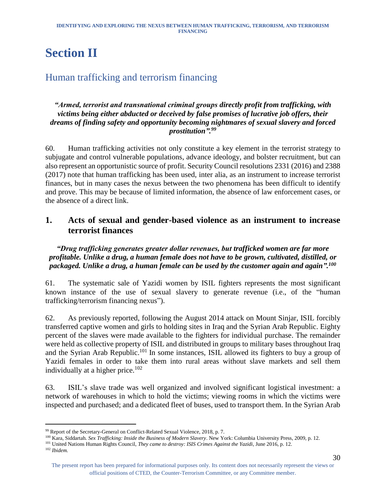# <span id="page-30-0"></span>**Section II**

# <span id="page-30-1"></span>Human trafficking and terrorism financing

#### *"Armed, terrorist and transnational criminal groups directly profit from trafficking, with victims being either abducted or deceived by false promises of lucrative job offers, their dreams of finding safety and opportunity becoming nightmares of sexual slavery and forced prostitution".<sup>99</sup>*

60. Human trafficking activities not only constitute a key element in the terrorist strategy to subjugate and control vulnerable populations, advance ideology, and bolster recruitment, but can also represent an opportunistic source of profit. Security Council resolutions 2331 (2016) and 2388 (2017) note that human trafficking has been used, inter alia, as an instrument to increase terrorist finances, but in many cases the nexus between the two phenomena has been difficult to identify and prove. This may be because of limited information, the absence of law enforcement cases, or the absence of a direct link.

#### <span id="page-30-2"></span>**1. Acts of sexual and gender-based violence as an instrument to increase terrorist finances**

#### *"Drug trafficking generates greater dollar revenues, but trafficked women are far more profitable. Unlike a drug, a human female does not have to be grown, cultivated, distilled, or packaged. Unlike a drug, a human female can be used by the customer again and again".<sup>100</sup>*

61. The systematic sale of Yazidi women by ISIL fighters represents the most significant known instance of the use of sexual slavery to generate revenue (i.e., of the "human trafficking/terrorism financing nexus").

62. As previously reported, following the August 2014 attack on Mount Sinjar, ISIL forcibly transferred captive women and girls to holding sites in Iraq and the Syrian Arab Republic. Eighty percent of the slaves were made available to the fighters for individual purchase. The remainder were held as collective property of ISIL and distributed in groups to military bases throughout Iraq and the Syrian Arab Republic.<sup>101</sup> In some instances, ISIL allowed its fighters to buy a group of Yazidi females in order to take them into rural areas without slave markets and sell them individually at a higher price. 102

63. ISIL's slave trade was well organized and involved significant logistical investment: a network of warehouses in which to hold the victims; viewing rooms in which the victims were inspected and purchased; and a dedicated fleet of buses, used to transport them. In the Syrian Arab

<sup>99</sup> Report of the Secretary-General on Conflict-Related Sexual Violence, 2018, p. 7.

<sup>100</sup> Kara, Siddartah. *Sex Trafficking: Inside the Business of Modern Slavery*. New York: Columbia University Press, 2009, p. 12.

<sup>101</sup> United Nations Human Rights Council, *They came to destroy: ISIS Crimes Against the Yazidi*, June 2016, p. 12.

<sup>102</sup> *Ibidem.*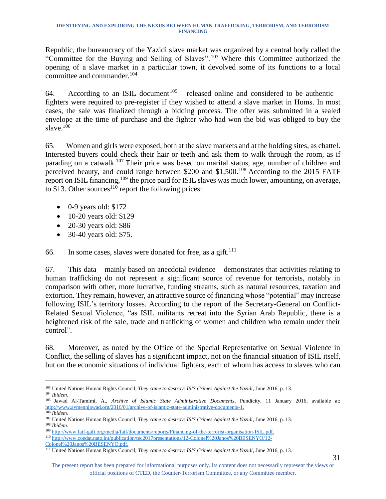Republic, the bureaucracy of the Yazidi slave market was organized by a central body called the "Committee for the Buying and Selling of Slaves".<sup>103</sup> Where this Committee authorized the opening of a slave market in a particular town, it devolved some of its functions to a local committee and commander. 104

64. According to an ISIL document<sup>105</sup> – released online and considered to be authentic – fighters were required to pre-register if they wished to attend a slave market in Homs. In most cases, the sale was finalized through a bidding process. The offer was submitted in a sealed envelope at the time of purchase and the fighter who had won the bid was obliged to buy the slave.<sup>106</sup>

65. Women and girls were exposed, both at the slave markets and at the holding sites, as chattel. Interested buyers could check their hair or teeth and ask them to walk through the room, as if parading on a catwalk.<sup>107</sup> Their price was based on marital status, age, number of children and perceived beauty, and could range between \$200 and \$1,500.<sup>108</sup> According to the 2015 FATF report on ISIL financing, <sup>109</sup> the price paid for ISIL slaves was much lower, amounting, on average, to \$13. Other sources<sup>110</sup> report the following prices:

- $\bullet$  0-9 years old: \$172
- 10-20 years old: \$129
- 20-30 years old: \$86
- 30-40 years old: \$75.

66. In some cases, slaves were donated for free, as a gift. $^{111}$ 

67. This data – mainly based on anecdotal evidence – demonstrates that activities relating to human trafficking do not represent a significant source of revenue for terrorists, notably in comparison with other, more lucrative, funding streams, such as natural resources, taxation and extortion. They remain, however, an attractive source of financing whose "potential" may increase following ISIL's territory losses. According to the report of the Secretary-General on Conflict-Related Sexual Violence, "as ISIL militants retreat into the Syrian Arab Republic, there is a heightened risk of the sale, trade and trafficking of women and children who remain under their control".

68. Moreover, as noted by the Office of the Special Representative on Sexual Violence in Conflict, the selling of slaves has a significant impact, not on the financial situation of ISIL itself, but on the economic situations of individual fighters, each of whom has access to slaves who can

<sup>110</sup> [http://www.coedat.nato.int/publication/tec2017presentations/12-Colonel%20Janos%20BESENYO/12-](http://www.coedat.nato.int/publication/tec2017presentations/12-Colonel%20Janos%20BESENYO/12-Colonel%20Janos%20BESENYO.pdf)

[Colonel%20Janos%20BESENYO.pdf.](http://www.coedat.nato.int/publication/tec2017presentations/12-Colonel%20Janos%20BESENYO/12-Colonel%20Janos%20BESENYO.pdf)

l <sup>103</sup> United Nations Human Rights Council, *They came to destroy: ISIS Crimes Against the Yazidi*, June 2016, p. 13. <sup>104</sup> *Ibidem.*

<sup>105</sup> Jawad Al-Tamimi, A., *Archive of Islamic State Administrative Documents*, Pundicity, 11 January 2016, available at: [http://www.aymennjawad.org/2016/01/archive-of-islamic-state-administrative-documents-1.](http://www.aymennjawad.org/2016/01/archive-of-islamic-state-administrative-documents-1) <sup>106</sup> *Ibidem.* 

<sup>107</sup> United Nations Human Rights Council, *They came to destroy: ISIS Crimes Against the Yazidi*, June 2016, p. 13. <sup>108</sup> *Ibidem.* 

<sup>109</sup> [http://www.fatf-gafi.org/media/fatf/documents/reports/Financing-of-the-terrorist-organisation-ISIL.pdf.](http://www.fatf-gafi.org/media/fatf/documents/reports/Financing-of-the-terrorist-organisation-ISIL.pdf)

<sup>111</sup> United Nations Human Rights Council, *They came to destroy: ISIS Crimes Against the Yazidi*, June 2016, p. 13.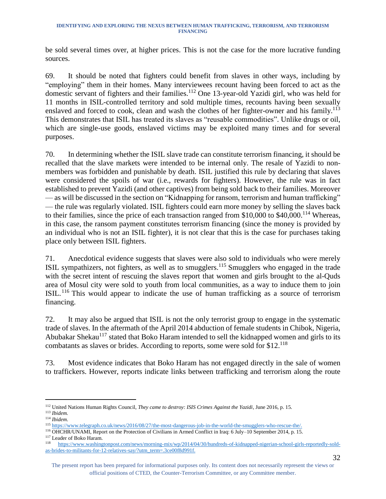be sold several times over, at higher prices. This is not the case for the more lucrative funding sources.

69. It should be noted that fighters could benefit from slaves in other ways, including by "employing" them in their homes. Many interviewees recount having been forced to act as the domestic servant of fighters and their families. <sup>112</sup> One 13-year-old Yazidi girl, who was held for 11 months in ISIL-controlled territory and sold multiple times, recounts having been sexually enslaved and forced to cook, clean and wash the clothes of her fighter-owner and his family.<sup>113</sup> This demonstrates that ISIL has treated its slaves as "reusable commodities". Unlike drugs or oil, which are single-use goods, enslaved victims may be exploited many times and for several purposes.

70. In determining whether the ISIL slave trade can constitute terrorism financing, it should be recalled that the slave markets were intended to be internal only. The resale of Yazidi to nonmembers was forbidden and punishable by death. ISIL justified this rule by declaring that slaves were considered the spoils of war (i.e., rewards for fighters). However, the rule was in fact established to prevent Yazidi (and other captives) from being sold back to their families. Moreover — as will be discussed in the section on "Kidnapping for ransom, terrorism and human trafficking" — the rule was regularly violated. ISIL fighters could earn more money by selling the slaves back to their families, since the price of each transaction ranged from \$10,000 to \$40,000.<sup>114</sup> Whereas, in this case, the ransom payment constitutes terrorism financing (since the money is provided by an individual who is not an ISIL fighter), it is not clear that this is the case for purchases taking place only between ISIL fighters.

71. Anecdotical evidence suggests that slaves were also sold to individuals who were merely ISIL sympathizers, not fighters, as well as to smugglers.<sup>115</sup> Smugglers who engaged in the trade with the secret intent of rescuing the slaves report that women and girls brought to the al-Ouds area of Mosul city were sold to youth from local communities, as a way to induce them to join ISIL.<sup>116</sup> This would appear to indicate the use of human trafficking as a source of terrorism financing.

72. It may also be argued that ISIL is not the only terrorist group to engage in the systematic trade of slaves. In the aftermath of the April 2014 abduction of female students in Chibok, Nigeria, Abubakar Shekau<sup>117</sup> stated that Boko Haram intended to sell the kidnapped women and girls to its combatants as slaves or brides. According to reports, some were sold for \$12.<sup>118</sup>

73. Most evidence indicates that Boko Haram has not engaged directly in the sale of women to traffickers. However, reports indicate links between trafficking and terrorism along the route

<sup>112</sup> United Nations Human Rights Council, *They came to destroy: ISIS Crimes Against the Yazidi*, June 2016, p. 15. <sup>113</sup> *Ibidem.*

<sup>114</sup> *Ibidem*.

<sup>115</sup> [https://www.telegraph.co.uk/news/2016/08/27/the-most-dangerous-job-in-the-world-the-smugglers-who-rescue-the/.](https://www.telegraph.co.uk/news/2016/08/27/the-most-dangerous-job-in-the-world-the-smugglers-who-rescue-the/)

<sup>116</sup> OHCHR/UNAMI, Report on the Protection of Civilians in Armed Conflict in Iraq: 6 July–10 September 2014, p. 15. <sup>117</sup> Leader of Boko Haram.

<sup>118</sup> [https://www.washingtonpost.com/news/morning-mix/wp/2014/04/30/hundreds-of-kidnapped-nigerian-school-girls-reportedly-sold](https://www.washingtonpost.com/news/morning-mix/wp/2014/04/30/hundreds-of-kidnapped-nigerian-school-girls-reportedly-sold-as-brides-to-militants-for-12-relatives-say/?utm_term=.3ce00f8d991f)[as-brides-to-militants-for-12-relatives-say/?utm\\_term=.3ce00f8d991f.](https://www.washingtonpost.com/news/morning-mix/wp/2014/04/30/hundreds-of-kidnapped-nigerian-school-girls-reportedly-sold-as-brides-to-militants-for-12-relatives-say/?utm_term=.3ce00f8d991f)

The present report has been prepared for informational purposes only. Its content does not necessarily represent the views or official positions of CTED, the Counter-Terrorism Committee, or any Committee member.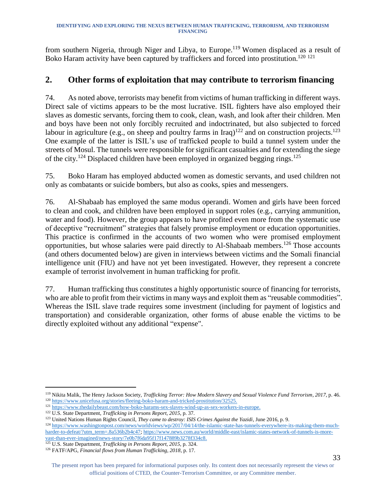from southern Nigeria, through Niger and Libya, to Europe.<sup>119</sup> Women displaced as a result of Boko Haram activity have been captured by traffickers and forced into prostitution.<sup>120 121</sup>

#### <span id="page-33-0"></span>**2. Other forms of exploitation that may contribute to terrorism financing**

74. As noted above, terrorists may benefit from victims of human trafficking in different ways. Direct sale of victims appears to be the most lucrative. ISIL fighters have also employed their slaves as domestic servants, forcing them to cook, clean, wash, and look after their children. Men and boys have been not only forcibly recruited and indoctrinated, but also subjected to forced labour in agriculture (e.g., on sheep and poultry farms in Iraq)<sup>122</sup> and on construction projects.<sup>123</sup> One example of the latter is ISIL's use of trafficked people to build a tunnel system under the streets of Mosul. The tunnels were responsible for significant casualties and for extending the siege of the city.<sup>124</sup> Displaced children have been employed in organized begging rings.<sup>125</sup>

75. Boko Haram has employed abducted women as domestic servants, and used children not only as combatants or suicide bombers, but also as cooks, spies and messengers.

76. Al-Shabaab has employed the same modus operandi. Women and girls have been forced to clean and cook, and children have been employed in support roles (e.g., carrying ammunition, water and food). However, the group appears to have profited even more from the systematic use of deceptive "recruitment" strategies that falsely promise employment or education opportunities. This practice is confirmed in the accounts of two women who were promised employment opportunities, but whose salaries were paid directly to Al-Shabaab members.<sup>126</sup> Those accounts (and others documented below) are given in interviews between victims and the Somali financial intelligence unit (FIU) and have not yet been investigated. However, they represent a concrete example of terrorist involvement in human trafficking for profit.

77. Human trafficking thus constitutes a highly opportunistic source of financing for terrorists, who are able to profit from their victims in many ways and exploit them as "reusable commodities". Whereas the ISIL slave trade requires some investment (including for payment of logistics and transportation) and considerable organization, other forms of abuse enable the victims to be directly exploited without any additional "expense".

<sup>119</sup> Nikita Malik, The Henry Jackson Society, *Trafficking Terror: How Modern Slavery and Sexual Violence Fund Terrorism, 2017*, p. 46. <sup>120</sup> [https://www.unicefusa.org/stories/fleeing-boko-haram-and-tricked-prostitution/32525.](https://www.unicefusa.org/stories/fleeing-boko-haram-and-tricked-prostitution/32525)

<sup>121</sup> [https://www.thedailybeast.com/how-boko-harams-sex-slaves-wind-up-as-sex-workers-in-europe.](https://www.thedailybeast.com/how-boko-harams-sex-slaves-wind-up-as-sex-workers-in-europe)

<sup>122</sup> U.S. State Department, *Trafficking in Persons Report, 2015*, p. 37.

<sup>123</sup> United Nations Human Rights Council, *They came to destroy: ISIS Crimes Against the Yazidi*, June 2016, p. 9.

<sup>124</sup> [https://www.washingtonpost.com/news/worldviews/wp/2017/04/14/the-islamic-state-has-tunnels-everywhere-its-making-them-much](https://www.washingtonpost.com/news/worldviews/wp/2017/04/14/the-islamic-state-has-tunnels-everywhere-its-making-them-much-harder-to-defeat/?utm_term=.8a536b2b4c47)[harder-to-defeat/?utm\\_term=.8a536b2b4c47;](https://www.washingtonpost.com/news/worldviews/wp/2017/04/14/the-islamic-state-has-tunnels-everywhere-its-making-them-much-harder-to-defeat/?utm_term=.8a536b2b4c47) [https://www.news.com.au/world/middle-east/islamic-states-network-of-tunnels-is-more](https://www.news.com.au/world/middle-east/islamic-states-network-of-tunnels-is-more-vast-than-ever-imagined/news-story/7e0b7f6da95f17f147889b3278f334c8)[vast-than-ever-imagined/news-story/7e0b7f6da95f17f147889b3278f334c8.](https://www.news.com.au/world/middle-east/islamic-states-network-of-tunnels-is-more-vast-than-ever-imagined/news-story/7e0b7f6da95f17f147889b3278f334c8)

<sup>125</sup> U.S. State Department, *Trafficking in Persons Report, 2015*, p. 324.

<sup>126</sup> FATF/APG, *Financial flows from Human Trafficking, 2018*, p. 17.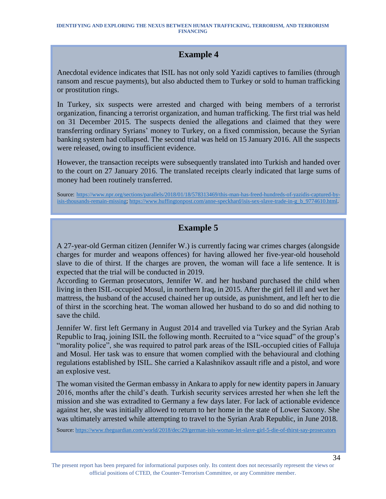### **Example 4**

Anecdotal evidence indicates that ISIL has not only sold Yazidi captives to families (through ransom and rescue payments), but also abducted them to Turkey or sold to human trafficking or prostitution rings.

In Turkey, six suspects were arrested and charged with being members of a terrorist organization, financing a terrorist organization, and human trafficking. The first trial was held on 31 December 2015. The suspects denied the allegations and claimed that they were transferring ordinary Syrians' money to Turkey, on a fixed commission, because the Syrian banking system had collapsed. The second trial was held on 15 January 2016. All the suspects were released, owing to insufficient evidence.

However, the transaction receipts were subsequently translated into Turkish and handed over to the court on 27 January 2016. The translated receipts clearly indicated that large sums of money had been routinely transferred.

Source: [https://www.npr.org/sections/parallels/2018/01/18/578313469/this-man-has-freed-hundreds-of-yazidis-captured-by](https://www.npr.org/sections/parallels/2018/01/18/578313469/this-man-has-freed-hundreds-of-yazidis-captured-by-isis-thousands-remain-missing)[isis-thousands-remain-missing;](https://www.npr.org/sections/parallels/2018/01/18/578313469/this-man-has-freed-hundreds-of-yazidis-captured-by-isis-thousands-remain-missing) [https://www.huffingtonpost.com/anne-speckhard/isis-sex-slave-trade-in-g\\_b\\_9774610.html.](https://www.huffingtonpost.com/anne-speckhard/isis-sex-slave-trade-in-g_b_9774610.html)

### **Example 5**

A 27-year-old German citizen (Jennifer W.) is currently facing war crimes charges (alongside charges for murder and weapons offences) for having allowed her five-year-old household slave to die of thirst. If the charges are proven, the woman will face a life sentence. It is expected that the trial will be conducted in 2019.

According to German prosecutors, Jennifer W. and her husband purchased the child when living in then ISIL-occupied Mosul, in northern Iraq, in 2015. After the girl fell ill and wet her mattress, the husband of the accused chained her up outside, as punishment, and left her to die of thirst in the scorching heat. The woman allowed her husband to do so and did nothing to save the child.

Jennifer W. first left Germany in August 2014 and travelled via Turkey and the Syrian Arab Republic to Iraq, joining ISIL the following month. Recruited to a "vice squad" of the group's "morality police", she was required to patrol park areas of the ISIL-occupied cities of Falluja and Mosul. Her task was to ensure that women complied with the behavioural and clothing regulations established by ISIL. She carried a Kalashnikov assault rifle and a pistol, and wore an explosive vest.

The woman visited the German embassy in Ankara to apply for new identity papers in January 2016, months after the child's death. Turkish security services arrested her when she left the mission and she was extradited to Germany a few days later. For lack of actionable evidence against her, she was initially allowed to return to her home in the state of Lower Saxony. She was ultimately arrested while attempting to travel to the Syrian Arab Republic, in June 2018.

Source[: https://www.theguardian.com/world/2018/dec/29/german-isis-woman-let-slave-girl-5-die-of-thirst-say-prosecutors](https://www.theguardian.com/world/2018/dec/29/german-isis-woman-let-slave-girl-5-die-of-thirst-say-prosecutors)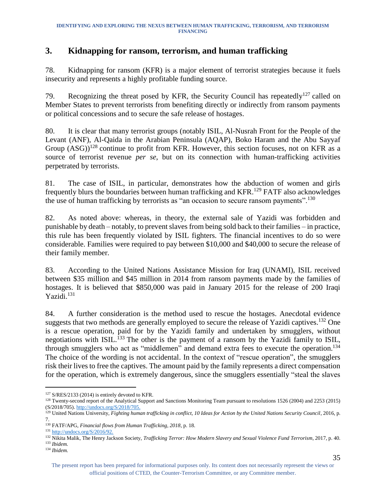### <span id="page-35-0"></span>**3. Kidnapping for ransom, terrorism, and human trafficking**

78. Kidnapping for ransom (KFR) is a major element of terrorist strategies because it fuels insecurity and represents a highly profitable funding source.

79. Recognizing the threat posed by KFR, the Security Council has repeatedly<sup>127</sup> called on Member States to prevent terrorists from benefiting directly or indirectly from ransom payments or political concessions and to secure the safe release of hostages.

80. It is clear that many terrorist groups (notably ISIL, Al-Nusrah Front for the People of the Levant (ANF), Al-Qaida in the Arabian Peninsula (AQAP), Boko Haram and the Abu Sayyaf Group  $(ASG)^{128}$  continue to profit from KFR. However, this section focuses, not on KFR as a source of terrorist revenue *per se*, but on its connection with human-trafficking activities perpetrated by terrorists.

81. The case of ISIL, in particular, demonstrates how the abduction of women and girls frequently blurs the boundaries between human trafficking and KFR.<sup>129</sup> FATF also acknowledges the use of human trafficking by terrorists as "an occasion to secure ransom payments".<sup>130</sup>

82. As noted above: whereas, in theory, the external sale of Yazidi was forbidden and punishable by death – notably, to prevent slaves from being sold back to their families – in practice, this rule has been frequently violated by ISIL fighters. The financial incentives to do so were considerable. Families were required to pay between \$10,000 and \$40,000 to secure the release of their family member.

83. According to the United Nations Assistance Mission for Iraq (UNAMI), ISIL received between \$35 million and \$45 million in 2014 from ransom payments made by the families of hostages. It is believed that \$850,000 was paid in January 2015 for the release of 200 Iraqi Yazidi. 131

84. A further consideration is the method used to rescue the hostages. Anecdotal evidence suggests that two methods are generally employed to secure the release of Yazidi captives.<sup>132</sup> One is a rescue operation, paid for by the Yazidi family and undertaken by smugglers, without negotiations with ISIL.<sup>133</sup> The other is the payment of a ransom by the Yazidi family to ISIL, through smugglers who act as "middlemen" and demand extra fees to execute the operation.<sup>134</sup> The choice of the wording is not accidental. In the context of "rescue operation", the smugglers risk their lives to free the captives. The amount paid by the family represents a direct compensation for the operation, which is extremely dangerous, since the smugglers essentially "steal the slaves

l <sup>127</sup> S/RES/2133 (2014) is entirely devoted to KFR.

<sup>&</sup>lt;sup>128</sup> Twenty-second report of the Analytical Support and Sanctions Monitoring Team pursuant to resolutions 1526 (2004) and 2253 (2015) (S/2018/705)[. http://undocs.org/S/2018/705.](http://undocs.org/S/2018/705)

<sup>&</sup>lt;sup>129</sup> United Nations University, *Fighting human trafficking in conflict, 10 Ideas for Action by the United Nations Security Council, 2016, p.* 7.

<sup>130</sup> FATF/APG, *Financial flows from Human Trafficking, 2018*, p. 18.

<sup>131</sup> [http://undocs.org/S/2016/92.](http://undocs.org/S/2016/92)

<sup>132</sup> Nikita Malik, The Henry Jackson Society, *Trafficking Terror: How Modern Slavery and Sexual Violence Fund Terrorism*, 2017, p. 40. <sup>133</sup> *Ibidem.*

<sup>134</sup> *Ibidem.*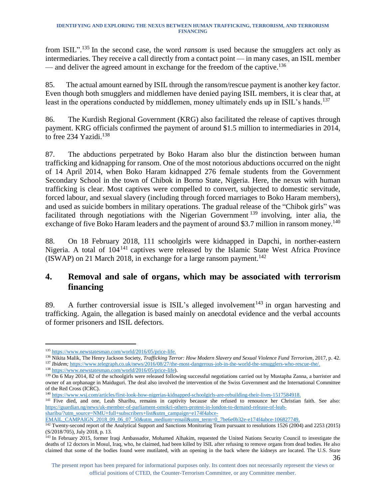from ISIL".<sup>135</sup> In the second case, the word *ransom* is used because the smugglers act only as intermediaries. They receive a call directly from a contact point — in many cases, an ISIL member — and deliver the agreed amount in exchange for the freedom of the captive.<sup>136</sup>

85. The actual amount earned by ISIL through the ransom/rescue payment is another key factor. Even though both smugglers and middlemen have denied paying ISIL members, it is clear that, at least in the operations conducted by middlemen, money ultimately ends up in ISIL's hands.<sup>137</sup>

86. The Kurdish Regional Government (KRG) also facilitated the release of captives through payment. KRG officials confirmed the payment of around \$1.5 million to intermediaries in 2014, to free 234 Yazidi.<sup>138</sup>

87. The abductions perpetrated by Boko Haram also blur the distinction between human trafficking and kidnapping for ransom. One of the most notorious abductions occurred on the night of 14 April 2014, when Boko Haram kidnapped 276 female students from the Government Secondary School in the town of Chibok in Borno State, Nigeria. Here, the nexus with human trafficking is clear. Most captives were compelled to convert, subjected to domestic servitude, forced labour, and sexual slavery (including through forced marriages to Boko Haram members), and used as suicide bombers in military operations. The gradual release of the "Chibok girls" was facilitated through negotiations with the Nigerian Government<sup>139</sup> involving, inter alia, the exchange of five Boko Haram leaders and the payment of around \$3.7 million in ransom money.<sup>140</sup>

88. On 18 February 2018, 111 schoolgirls were kidnapped in Dapchi, in norther-eastern Nigeria. A total of 104<sup>141</sup> captives were released by the Islamic State West Africa Province (ISWAP) on 21 March 2018, in exchange for a large ransom payment. 142

### <span id="page-36-0"></span>**4. Removal and sale of organs, which may be associated with terrorism financing**

89. A further controversial issue is ISIL's alleged involvement<sup>143</sup> in organ harvesting and trafficking. Again, the allegation is based mainly on anecdotal evidence and the verbal accounts of former prisoners and ISIL defectors.

l

<sup>136</sup> Nikita Malik, The Henry Jackson Society, *Trafficking Terror: How Modern Slavery and Sexual Violence Fund Terrorism*, 2017, p. 42. <sup>137</sup> *Ibidem;* [https://www.telegraph.co.uk/news/2016/08/27/the-most-dangerous-job-in-the-world-the-smugglers-who-rescue-the/.](https://www.telegraph.co.uk/news/2016/08/27/the-most-dangerous-job-in-the-world-the-smugglers-who-rescue-the/)

<sup>135</sup> [https://www.newstatesman.com/world/2016/05/price-life.](https://www.newstatesman.com/world/2016/05/price-life)

<sup>138</sup> [https://www.newstatesman.com/world/2016/05/price-life\)](https://www.newstatesman.com/world/2016/05/price-life).

<sup>&</sup>lt;sup>139</sup> On 6 May 2014, 82 of the schoolgirls were released following successful negotiations carried out by Mustapha Zanna, a barrister and owner of an orphanage in Maiduguri. The deal also involved the intervention of the Swiss Government and the International Committee of the Red Cross (ICRC).

<sup>&</sup>lt;sup>140</sup> [https://www.wsj.com/articles/first-look-how-nigerias-kidnapped-schoolgirls-are-rebuilding-their-lives-1517584918.](https://www.wsj.com/articles/first-look-how-nigerias-kidnapped-schoolgirls-are-rebuilding-their-lives-1517584918)

<sup>&</sup>lt;sup>141</sup> Five died, and one, Leah Sharibu, remains in captivity because she refused to renounce her Christian faith. See also: [https://guardian.ng/news/uk-member-of-parliament-omokri-others-protest-in-london-to-demand-release-of-leah](https://guardian.ng/news/uk-member-of-parliament-omokri-others-protest-in-london-to-demand-release-of-leah-sharibu/?utm_source=NMU+full+subscribers+list&utm_campaign=e174f4abce-EMAIL_CAMPAIGN_2018_09_06_07_50&utm_medium=email&utm_term=0_7be6e0b32e-e174f4abce-106827749)[sharibu/?utm\\_source=NMU+full+subscribers+list&utm\\_campaign=e174f4abce-](https://guardian.ng/news/uk-member-of-parliament-omokri-others-protest-in-london-to-demand-release-of-leah-sharibu/?utm_source=NMU+full+subscribers+list&utm_campaign=e174f4abce-EMAIL_CAMPAIGN_2018_09_06_07_50&utm_medium=email&utm_term=0_7be6e0b32e-e174f4abce-106827749)

[EMAIL\\_CAMPAIGN\\_2018\\_09\\_06\\_07\\_50&utm\\_medium=email&utm\\_term=0\\_7be6e0b32e-e174f4abce-106827749.](https://guardian.ng/news/uk-member-of-parliament-omokri-others-protest-in-london-to-demand-release-of-leah-sharibu/?utm_source=NMU+full+subscribers+list&utm_campaign=e174f4abce-EMAIL_CAMPAIGN_2018_09_06_07_50&utm_medium=email&utm_term=0_7be6e0b32e-e174f4abce-106827749)

<sup>&</sup>lt;sup>142</sup> Twenty-second report of the Analytical Support and Sanctions Monitoring Team pursuant to resolutions 1526 (2004) and 2253 (2015) (S/2018/705), July 2018, p. 13.

<sup>36</sup> <sup>143</sup> In February 2015, former Iraqi Ambassador, Mohamed Alhakim, requested the United Nations Security Council to investigate the deaths of 12 doctors in Mosul, Iraq, who, he claimed, had been killed by ISIL after refusing to remove organs from dead bodies. He also claimed that some of the bodies found were mutilated, with an opening in the back where the kidneys are located. The U.S. State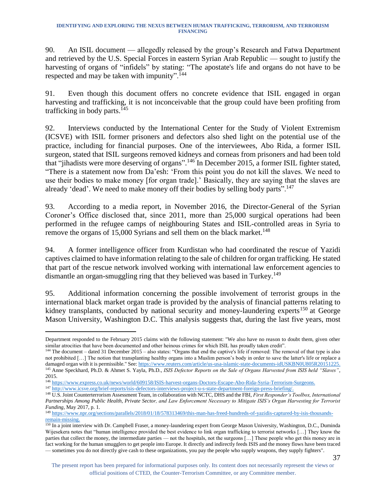90. An ISIL document — allegedly released by the group's Research and Fatwa Department and retrieved by the U.S. Special Forces in eastern Syrian Arab Republic — sought to justify the harvesting of organs of "infidels" by stating: "The apostate's life and organs do not have to be respected and may be taken with impunity".<sup>144</sup>

91. Even though this document offers no concrete evidence that ISIL engaged in organ harvesting and trafficking, it is not inconceivable that the group could have been profiting from trafficking in body parts.<sup>145</sup>

92. Interviews conducted by the International Center for the Study of Violent Extremism (ICSVE) with ISIL former prisoners and defectors also shed light on the potential use of the practice, including for financial purposes. One of the interviewees, Abo Rida, a former ISIL surgeon, stated that ISIL surgeons removed kidneys and corneas from prisoners and had been told that "jihadists were more deserving of organs".<sup>146</sup> In December 2015, a former ISIL fighter stated, "There is a statement now from Da'esh: 'From this point you do not kill the slaves. We need to use their bodies to make money [for organ trade].' Basically, they are saying that the slaves are already 'dead'. We need to make money off their bodies by selling body parts".<sup>147</sup>

93. According to a media report, in November 2016, the Director-General of the Syrian Coroner's Office disclosed that, since 2011, more than 25,000 surgical operations had been performed in the refugee camps of neighbouring States and ISIL-controlled areas in Syria to remove the organs of 15,000 Syrians and sell them on the black market.<sup>148</sup>

94. A former intelligence officer from Kurdistan who had coordinated the rescue of Yazidi captives claimed to have information relating to the sale of children for organ trafficking. He stated that part of the rescue network involved working with international law enforcement agencies to dismantle an organ-smuggling ring that they believed was based in Turkey.<sup>149</sup>

95. Additional information concerning the possible involvement of terrorist groups in the international black market organ trade is provided by the analysis of financial patterns relating to kidney transplants, conducted by national security and money-laundering experts<sup>150</sup> at George Mason University, Washington D.C. This analysis suggests that, during the last five years, most

<sup>147</sup> [http://www.icsve.org/brief-reports/isis-defectors-interviews-project-u-s-state-department-foreign-press-briefing/.](http://www.icsve.org/brief-reports/isis-defectors-interviews-project-u-s-state-department-foreign-press-briefing/)

l Department responded to the February 2015 claims with the following statement: "We also have no reason to doubt them, given other similar atrocities that have been documented and other heinous crimes for which ISIL has proudly taken credit".

<sup>144</sup> The document – dated 31 December 2015 – also states: "Organs that end the captive's life if removed: The removal of that type is also not prohibited […] The notion that transplanting healthy organs into a Muslim person's body in order to save the latter's life or replace a damaged organ with it is permissible." See[: https://www.reuters.com/article/us-usa-islamic-state-documents-idUSKBN0U805R20151225.](https://www.reuters.com/article/us-usa-islamic-state-documents-idUSKBN0U805R20151225) <sup>145</sup> Anne Speckhard, Ph.D. & Ahmet S. Yayla, Ph.D., *ISIS Defector Reports on the Sale of Organs Harvested from ISIS held "Slaves"*, 2015.

<sup>146</sup> https://www<u>.express.co.uk/news/world/609158/ISIS-harvest-organs-Doctors-Escape-Abo-Rida-Syria-Terrorism-Surgeons.</u>

<sup>148</sup> U.S. Joint Counterterrorism Assessment Team, in collaboration with NCTC, DHS and the FBI, *First Responder's Toolbox, International Partnerships Among Public Health, Private Sector, and Law Enforcement Necessary to Mitigate ISIS's Organ Harvesting for Terrorist Funding,* May 2017, p. 1.

<sup>149</sup> [https://www.npr.org/sections/parallels/2018/01/18/578313469/this-man-has-freed-hundreds-of-yazidis-captured-by-isis-thousands](https://www.npr.org/sections/parallels/2018/01/18/578313469/this-man-has-freed-hundreds-of-yazidis-captured-by-isis-thousands-remain-missing)[remain-missing.](https://www.npr.org/sections/parallels/2018/01/18/578313469/this-man-has-freed-hundreds-of-yazidis-captured-by-isis-thousands-remain-missing)

<sup>&</sup>lt;sup>150</sup> In a joint interview with Dr. Campbell Fraser, a money-laundering expert from George Mason University, Washington, D.C., Duminda Wijesekera notes that "human intelligence provided the best evidence to link organ trafficking to terrorist networks […] They know the parties that collect the money, the intermediate parties — not the hospitals, not the surgeons […] These people who get this money are in fact working for the human smugglers to get people into Europe. It directly and indirectly feeds ISIS and the money flows have been traced — sometimes you do not directly give cash to these organizations, you pay the people who supply weapons, they supply fighters".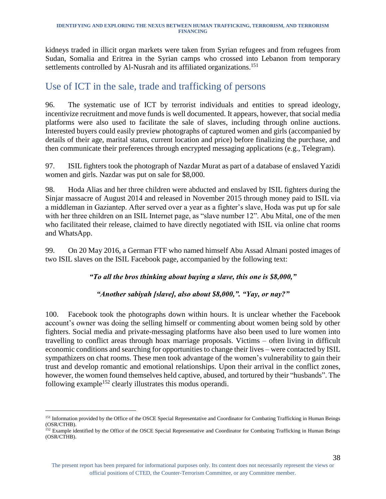kidneys traded in illicit organ markets were taken from Syrian refugees and from refugees from Sudan, Somalia and Eritrea in the Syrian camps who crossed into Lebanon from temporary settlements controlled by Al-Nusrah and its affiliated organizations.<sup>151</sup>

# <span id="page-38-0"></span>Use of ICT in the sale, trade and trafficking of persons

96. The systematic use of ICT by terrorist individuals and entities to spread ideology, incentivize recruitment and move funds is well documented. It appears, however, that social media platforms were also used to facilitate the sale of slaves, including through online auctions. Interested buyers could easily preview photographs of captured women and girls (accompanied by details of their age, marital status, current location and price) before finalizing the purchase, and then communicate their preferences through encrypted messaging applications (e.g., Telegram).

97. ISIL fighters took the photograph of Nazdar Murat as part of a database of enslaved Yazidi women and girls. Nazdar was put on sale for \$8,000.

98. Hoda Alias and her three children were abducted and enslaved by ISIL fighters during the Sinjar massacre of August 2014 and released in November 2015 through money paid to ISIL via a middleman in Gaziantep. After served over a year as a fighter's slave, Hoda was put up for sale with her three children on an ISIL Internet page, as "slave number 12". Abu Mital, one of the men who facilitated their release, claimed to have directly negotiated with ISIL via online chat rooms and WhatsApp.

99. On 20 May 2016, a German FTF who named himself Abu Assad Almani posted images of two ISIL slaves on the ISIL Facebook page, accompanied by the following text:

#### *"To all the bros thinking about buying a slave, this one is \$8,000,"*

#### *"Another sabiyah [slave], also about \$8,000,". "Yay, or nay?"*

100. Facebook took the photographs down within hours. It is unclear whether the Facebook account's owner was doing the selling himself or commenting about women being sold by other fighters. Social media and private-messaging platforms have also been used to lure women into travelling to conflict areas through hoax marriage proposals. Victims – often living in difficult economic conditions and searching for opportunities to change their lives – were contacted by ISIL sympathizers on chat rooms. These men took advantage of the women's vulnerability to gain their trust and develop romantic and emotional relationships. Upon their arrival in the conflict zones, however, the women found themselves held captive, abused, and tortured by their "husbands". The following example<sup>152</sup> clearly illustrates this modus operandi.

<sup>&</sup>lt;sup>151</sup> Information provided by the Office of the OSCE Special Representative and Coordinator for Combating Trafficking in Human Beings (OSR/CTHB).

<sup>&</sup>lt;sup>152</sup> Example identified by the Office of the OSCE Special Representative and Coordinator for Combating Trafficking in Human Beings (OSR/CTHB).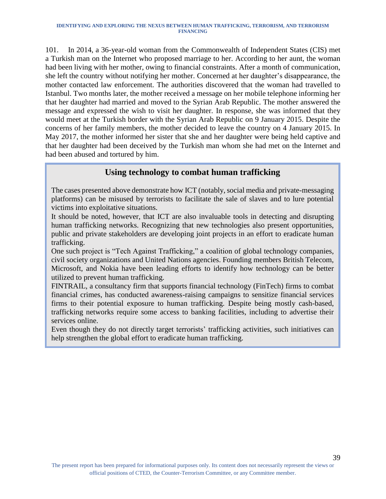101. In 2014, a 36-year-old woman from the Commonwealth of Independent States (CIS) met a Turkish man on the Internet who proposed marriage to her. According to her aunt, the woman had been living with her mother, owing to financial constraints. After a month of communication, she left the country without notifying her mother. Concerned at her daughter's disappearance, the mother contacted law enforcement. The authorities discovered that the woman had travelled to Istanbul. Two months later, the mother received a message on her mobile telephone informing her that her daughter had married and moved to the Syrian Arab Republic. The mother answered the message and expressed the wish to visit her daughter. In response, she was informed that they would meet at the Turkish border with the Syrian Arab Republic on 9 January 2015. Despite the concerns of her family members, the mother decided to leave the country on 4 January 2015. In May 2017, the mother informed her sister that she and her daughter were being held captive and that her daughter had been deceived by the Turkish man whom she had met on the Internet and had been abused and tortured by him.

#### **Using technology to combat human trafficking**

The cases presented above demonstrate how ICT (notably, social media and private-messaging platforms) can be misused by terrorists to facilitate the sale of slaves and to lure potential victims into exploitative situations.

It should be noted, however, that ICT are also invaluable tools in detecting and disrupting human trafficking networks. Recognizing that new technologies also present opportunities, public and private stakeholders are developing joint projects in an effort to eradicate human trafficking.

One such project is "Tech Against Trafficking," a coalition of global technology companies, civil society organizations and United Nations agencies. Founding members British Telecom, Microsoft, and Nokia have been leading efforts to identify how technology can be better utilized to prevent human trafficking.

FINTRAIL, a consultancy firm that supports financial technology (FinTech) firms to combat financial crimes, has conducted awareness-raising campaigns to sensitize financial services firms to their potential exposure to human trafficking. Despite being mostly cash-based, trafficking networks require some access to banking facilities, including to advertise their services online.

Even though they do not directly target terrorists' trafficking activities, such initiatives can help strengthen the global effort to eradicate human trafficking.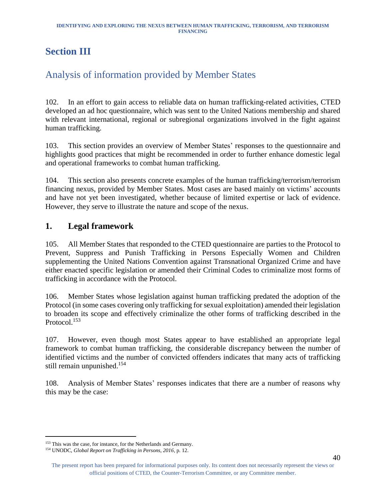# <span id="page-40-0"></span>**Section III**

# <span id="page-40-1"></span>Analysis of information provided by Member States

102. In an effort to gain access to reliable data on human trafficking-related activities, CTED developed an ad hoc questionnaire, which was sent to the United Nations membership and shared with relevant international, regional or subregional organizations involved in the fight against human trafficking.

103. This section provides an overview of Member States' responses to the questionnaire and highlights good practices that might be recommended in order to further enhance domestic legal and operational frameworks to combat human trafficking.

104. This section also presents concrete examples of the human trafficking/terrorism/terrorism financing nexus, provided by Member States. Most cases are based mainly on victims' accounts and have not yet been investigated, whether because of limited expertise or lack of evidence. However, they serve to illustrate the nature and scope of the nexus.

### <span id="page-40-2"></span>**1. Legal framework**

105. All Member States that responded to the CTED questionnaire are parties to the Protocol to Prevent, Suppress and Punish Trafficking in Persons Especially Women and Children supplementing the United Nations Convention against Transnational Organized Crime and have either enacted specific legislation or amended their Criminal Codes to criminalize most forms of trafficking in accordance with the Protocol.

106. Member States whose legislation against human trafficking predated the adoption of the Protocol (in some cases covering only trafficking for sexual exploitation) amended their legislation to broaden its scope and effectively criminalize the other forms of trafficking described in the Protocol. 153

107. However, even though most States appear to have established an appropriate legal framework to combat human trafficking, the considerable discrepancy between the number of identified victims and the number of convicted offenders indicates that many acts of trafficking still remain unpunished. 154

108. Analysis of Member States' responses indicates that there are a number of reasons why this may be the case:

<sup>&</sup>lt;sup>153</sup> This was the case, for instance, for the Netherlands and Germany.

<sup>154</sup> UNODC, *Global Report on Trafficking in Persons, 2016*, p. 12.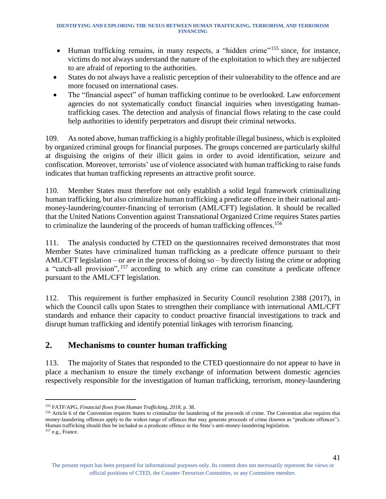- Human trafficking remains, in many respects, a "hidden crime"<sup>155</sup> since, for instance, victims do not always understand the nature of the exploitation to which they are subjected to are afraid of reporting to the authorities.
- States do not always have a realistic perception of their vulnerability to the offence and are more focused on international cases.
- The "financial aspect" of human trafficking continue to be overlooked. Law enforcement agencies do not systematically conduct financial inquiries when investigating humantrafficking cases. The detection and analysis of financial flows relating to the case could help authorities to identify perpetrators and disrupt their criminal networks.

109. As noted above, human trafficking is a highly profitable illegal business, which is exploited by organized criminal groups for financial purposes. The groups concerned are particularly skilful at disguising the origins of their illicit gains in order to avoid identification, seizure and confiscation. Moreover, terrorists' use of violence associated with human trafficking to raise funds indicates that human trafficking represents an attractive profit source.

110. Member States must therefore not only establish a solid legal framework criminalizing human trafficking, but also criminalize human trafficking a predicate offence in their national antimoney-laundering/counter-financing of terrorism (AML/CFT) legislation. It should be recalled that the United Nations Convention against Transnational Organized Crime requires States parties to criminalize the laundering of the proceeds of human trafficking offences.<sup>156</sup>

111. The analysis conducted by CTED on the questionnaires received demonstrates that most Member States have criminalized human trafficking as a predicate offence pursuant to their AML/CFT legislation – or are in the process of doing so – by directly listing the crime or adopting a "catch-all provision", <sup>157</sup> according to which any crime can constitute a predicate offence pursuant to the AML/CFT legislation.

112. This requirement is further emphasized in Security Council resolution 2388 (2017), in which the Council calls upon States to strengthen their compliance with international AML/CFT standards and enhance their capacity to conduct proactive financial investigations to track and disrupt human trafficking and identify potential linkages with terrorism financing.

### <span id="page-41-0"></span>**2. Mechanisms to counter human trafficking**

113. The majority of States that responded to the CTED questionnaire do not appear to have in place a mechanism to ensure the timely exchange of information between domestic agencies respectively responsible for the investigation of human trafficking, terrorism, money-laundering

<sup>155</sup> FATF/APG, *Financial flows from Human Trafficking, 2018,* p. 38.

<sup>&</sup>lt;sup>156</sup> Article 6 of the Convention requires States to criminalize the laundering of the proceeds of crime. The Convention also requires that money-laundering offences apply to the widest range of offences that may generate proceeds of crime (known as "predicate offences"). Human trafficking should thus be included as a predicate offence in the State's anti-money-laundering legislation.  $^{157}$ e.g., France.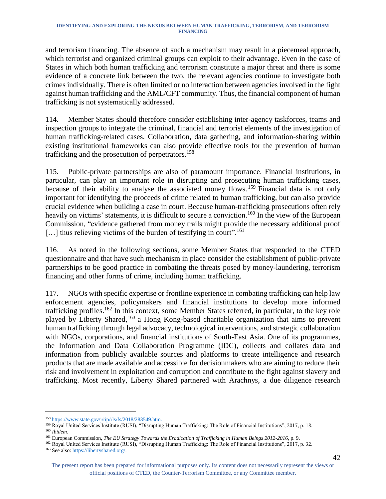and terrorism financing. The absence of such a mechanism may result in a piecemeal approach, which terrorist and organized criminal groups can exploit to their advantage. Even in the case of States in which both human trafficking and terrorism constitute a major threat and there is some evidence of a concrete link between the two, the relevant agencies continue to investigate both crimes individually. There is often limited or no interaction between agencies involved in the fight against human trafficking and the AML/CFT community. Thus, the financial component of human trafficking is not systematically addressed.

114. Member States should therefore consider establishing inter-agency taskforces, teams and inspection groups to integrate the criminal, financial and terrorist elements of the investigation of human trafficking-related cases. Collaboration, data gathering, and information-sharing within existing institutional frameworks can also provide effective tools for the prevention of human trafficking and the prosecution of perpetrators. 158

115. Public-private partnerships are also of paramount importance. Financial institutions, in particular, can play an important role in disrupting and prosecuting human trafficking cases, because of their ability to analyse the associated money flows.<sup>159</sup> Financial data is not only important for identifying the proceeds of crime related to human trafficking, but can also provide crucial evidence when building a case in court. Because human-trafficking prosecutions often rely heavily on victims' statements, it is difficult to secure a conviction.<sup>160</sup> In the view of the European Commission, "evidence gathered from money trails might provide the necessary additional proof  $[\dots]$  thus relieving victims of the burden of testifying in court".<sup>161</sup>

116. As noted in the following sections, some Member States that responded to the CTED questionnaire and that have such mechanism in place consider the establishment of public-private partnerships to be good practice in combating the threats posed by money-laundering, terrorism financing and other forms of crime, including human trafficking.

117. NGOs with specific expertise or frontline experience in combating trafficking can help law enforcement agencies, policymakers and financial institutions to develop more informed trafficking profiles.<sup>162</sup> In this context, some Member States referred, in particular, to the key role played by Liberty Shared,<sup>163</sup> a Hong Kong-based charitable organization that aims to prevent human trafficking through legal advocacy, technological interventions, and strategic collaboration with NGOs, corporations, and financial institutions of South-East Asia. One of its programmes, the Information and Data Collaboration Programme (IDC), collects and collates data and information from publicly available sources and platforms to create intelligence and research products that are made available and accessible for decisionmakers who are aiming to reduce their risk and involvement in exploitation and corruption and contribute to the fight against slavery and trafficking. Most recently, Liberty Shared partnered with Arachnys, a due diligence research

l <sup>158</sup> [https://www.state.gov/j/tip/rls/fs/2018/283549.htm.](https://www.state.gov/j/tip/rls/fs/2018/283549.htm)

<sup>159</sup> Royal United Services Institute (RUSI), "Disrupting Human Trafficking: The Role of Financial Institutions", 2017, p. 18. <sup>160</sup> *Ibidem.*

<sup>161</sup> European Commission, *The EU Strategy Towards the Eradication of Trafficking in Human Beings 2012-2016*, p. 9.

<sup>162</sup> Royal United Services Institute (RUSI), "Disrupting Human Trafficking: The Role of Financial Institutions", 2017, p. 32.

<sup>163</sup> See also: [https://libertyshared.org/.](https://libertyshared.org/)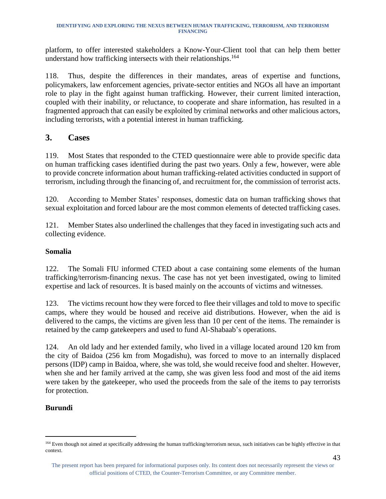platform, to offer interested stakeholders a Know-Your-Client tool that can help them better understand how trafficking intersects with their relationships. 164

118. Thus, despite the differences in their mandates, areas of expertise and functions, policymakers, law enforcement agencies, private-sector entities and NGOs all have an important role to play in the fight against human trafficking. However, their current limited interaction, coupled with their inability, or reluctance, to cooperate and share information, has resulted in a fragmented approach that can easily be exploited by criminal networks and other malicious actors, including terrorists, with a potential interest in human trafficking.

#### <span id="page-43-0"></span>**3. Cases**

119. Most States that responded to the CTED questionnaire were able to provide specific data on human trafficking cases identified during the past two years. Only a few, however, were able to provide concrete information about human trafficking-related activities conducted in support of terrorism, including through the financing of, and recruitment for, the commission of terrorist acts.

120. According to Member States' responses, domestic data on human trafficking shows that sexual exploitation and forced labour are the most common elements of detected trafficking cases.

121. Member States also underlined the challenges that they faced in investigating such acts and collecting evidence.

#### **Somalia**

122. The Somali FIU informed CTED about a case containing some elements of the human trafficking/terrorism-financing nexus. The case has not yet been investigated, owing to limited expertise and lack of resources. It is based mainly on the accounts of victims and witnesses.

123. The victims recount how they were forced to flee their villages and told to move to specific camps, where they would be housed and receive aid distributions. However, when the aid is delivered to the camps, the victims are given less than 10 per cent of the items. The remainder is retained by the camp gatekeepers and used to fund Al-Shabaab's operations.

124. An old lady and her extended family, who lived in a village located around 120 km from the city of Baidoa (256 km from Mogadishu), was forced to move to an internally displaced persons (IDP) camp in Baidoa, where, she was told, she would receive food and shelter. However, when she and her family arrived at the camp, she was given less food and most of the aid items were taken by the gatekeeper, who used the proceeds from the sale of the items to pay terrorists for protection.

#### **Burundi**

<sup>&</sup>lt;sup>164</sup> Even though not aimed at specifically addressing the human trafficking/terrorism nexus, such initiatives can be highly effective in that context.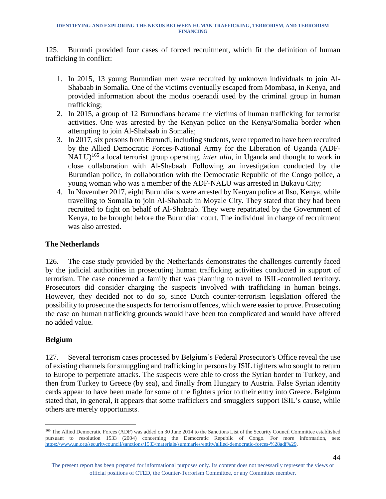125. Burundi provided four cases of forced recruitment, which fit the definition of human trafficking in conflict:

- 1. In 2015, 13 young Burundian men were recruited by unknown individuals to join Al-Shabaab in Somalia. One of the victims eventually escaped from Mombasa, in Kenya, and provided information about the modus operandi used by the criminal group in human trafficking;
- 2. In 2015, a group of 12 Burundians became the victims of human trafficking for terrorist activities. One was arrested by the Kenyan police on the Kenya/Somalia border when attempting to join Al-Shabaab in Somalia;
- 3. In 2017, six persons from Burundi, including students, were reported to have been recruited by the Allied Democratic Forces-National Army for the Liberation of Uganda (ADF-NALU) <sup>165</sup> a local terrorist group operating, *inter alia,* in Uganda and thought to work in close collaboration with Al-Shabaab. Following an investigation conducted by the Burundian police, in collaboration with the Democratic Republic of the Congo police, a young woman who was a member of the ADF-NALU was arrested in Bukavu City;
- 4. In November 2017, eight Burundians were arrested by Kenyan police at Ilso, Kenya, while travelling to Somalia to join Al-Shabaab in Moyale City. They stated that they had been recruited to fight on behalf of Al-Shabaab. They were repatriated by the Government of Kenya, to be brought before the Burundian court. The individual in charge of recruitment was also arrested.

#### **The Netherlands**

126. The case study provided by the Netherlands demonstrates the challenges currently faced by the judicial authorities in prosecuting human trafficking activities conducted in support of terrorism. The case concerned a family that was planning to travel to ISIL-controlled territory. Prosecutors did consider charging the suspects involved with trafficking in human beings. However, they decided not to do so, since Dutch counter-terrorism legislation offered the possibility to prosecute the suspects for terrorism offences, which were easier to prove. Prosecuting the case on human trafficking grounds would have been too complicated and would have offered no added value.

#### **Belgium**

l

127. Several terrorism cases processed by Belgium's Federal Prosecutor's Office reveal the use of existing channels for smuggling and trafficking in persons by ISIL fighters who sought to return to Europe to perpetrate attacks. The suspects were able to cross the Syrian border to Turkey, and then from Turkey to Greece (by sea), and finally from Hungary to Austria. False Syrian identity cards appear to have been made for some of the fighters prior to their entry into Greece. Belgium stated that, in general, it appears that some traffickers and smugglers support ISIL's cause, while others are merely opportunists.

<sup>&</sup>lt;sup>165</sup> The Allied Democratic Forces (ADF) was added on 30 June 2014 to the Sanctions List of the Security Council Committee established pursuant to resolution 1533 (2004) concerning the Democratic Republic of Congo. For more information, see: [https://www.un.org/securitycouncil/sanctions/1533/materials/summaries/entity/allied-democratic-forces-%28adf%29.](https://www.un.org/securitycouncil/sanctions/1533/materials/summaries/entity/allied-democratic-forces-%28adf%29)

The present report has been prepared for informational purposes only. Its content does not necessarily represent the views or official positions of CTED, the Counter-Terrorism Committee, or any Committee member.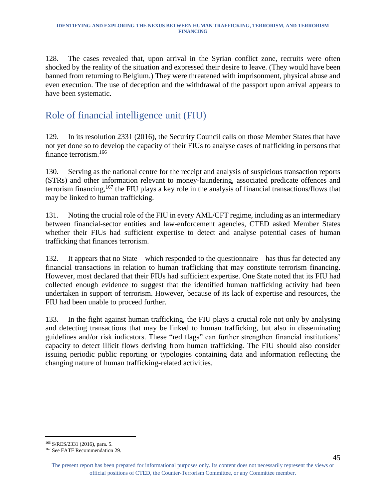128. The cases revealed that, upon arrival in the Syrian conflict zone, recruits were often shocked by the reality of the situation and expressed their desire to leave. (They would have been banned from returning to Belgium.) They were threatened with imprisonment, physical abuse and even execution. The use of deception and the withdrawal of the passport upon arrival appears to have been systematic.

# <span id="page-45-0"></span>Role of financial intelligence unit (FIU)

129. In its resolution 2331 (2016), the Security Council calls on those Member States that have not yet done so to develop the capacity of their FIUs to analyse cases of trafficking in persons that finance terrorism. 166

130. Serving as the national centre for the receipt and analysis of suspicious transaction reports (STRs) and other information relevant to money-laundering, associated predicate offences and terrorism financing, <sup>167</sup> the FIU plays a key role in the analysis of financial transactions/flows that may be linked to human trafficking.

131. Noting the crucial role of the FIU in every AML/CFT regime, including as an intermediary between financial-sector entities and law-enforcement agencies, CTED asked Member States whether their FIUs had sufficient expertise to detect and analyse potential cases of human trafficking that finances terrorism.

132. It appears that no State – which responded to the questionnaire – has thus far detected any financial transactions in relation to human trafficking that may constitute terrorism financing. However, most declared that their FIUs had sufficient expertise. One State noted that its FIU had collected enough evidence to suggest that the identified human trafficking activity had been undertaken in support of terrorism. However, because of its lack of expertise and resources, the FIU had been unable to proceed further.

133. In the fight against human trafficking, the FIU plays a crucial role not only by analysing and detecting transactions that may be linked to human trafficking, but also in disseminating guidelines and/or risk indicators. These "red flags" can further strengthen financial institutions' capacity to detect illicit flows deriving from human trafficking. The FIU should also consider issuing periodic public reporting or typologies containing data and information reflecting the changing nature of human trafficking-related activities.

<sup>166</sup> S/RES/2331 (2016), para. 5.

<sup>&</sup>lt;sup>167</sup> See FATF Recommendation 29.

The present report has been prepared for informational purposes only. Its content does not necessarily represent the views or official positions of CTED, the Counter-Terrorism Committee, or any Committee member.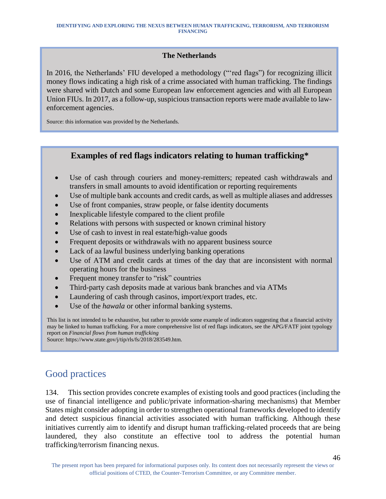#### **The Netherlands**

In 2016, the Netherlands' FIU developed a methodology ("'red flags") for recognizing illicit money flows indicating a high risk of a crime associated with human trafficking. The findings were shared with Dutch and some European law enforcement agencies and with all European Union FIUs. In 2017, as a follow-up, suspicious transaction reports were made available to lawenforcement agencies.

Source: this information was provided by the Netherlands.

### **Examples of red flags indicators relating to human trafficking\***

- Use of cash through couriers and money-remitters; repeated cash withdrawals and transfers in small amounts to avoid identification or reporting requirements
- Use of multiple bank accounts and credit cards, as well as multiple aliases and addresses
- Use of front companies, straw people, or false identity documents
- Inexplicable lifestyle compared to the client profile
- Relations with persons with suspected or known criminal history
- Use of cash to invest in real estate/high-value goods
- Frequent deposits or withdrawals with no apparent business source
- Lack of aa lawful business underlying banking operations
- Use of ATM and credit cards at times of the day that are inconsistent with normal operating hours for the business
- Frequent money transfer to "risk" countries
- Third-party cash deposits made at various bank branches and via ATMs
- Laundering of cash through casinos, import/export trades, etc.
- Use of the *hawala* or other informal banking systems.

This list is not intended to be exhaustive, but rather to provide some example of indicators suggesting that a financial activity may be linked to human trafficking. For a more comprehensive list of red flags indicators, see the APG/FATF joint typology report on *Financial flows from human trafficking*

Source: https://www.state.gov/j/tip/rls/fs/2018/283549.htm.

# <span id="page-46-0"></span>Good practices

134. This section provides concrete examples of existing tools and good practices (including the use of financial intelligence and public/private information-sharing mechanisms) that Member States might consider adopting in order to strengthen operational frameworks developed to identify and detect suspicious financial activities associated with human trafficking. Although these initiatives currently aim to identify and disrupt human trafficking-related proceeds that are being laundered, they also constitute an effective tool to address the potential human trafficking/terrorism financing nexus.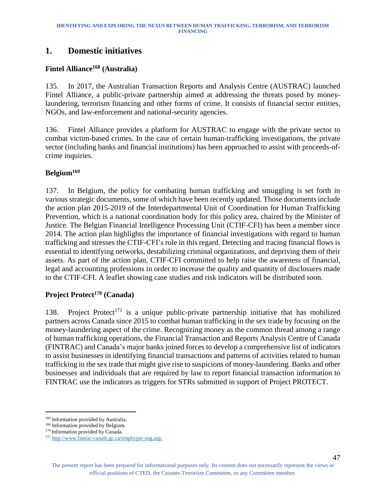### <span id="page-47-0"></span>**1. Domestic initiatives**

#### **Fintel Alliance<sup>168</sup> (Australia)**

135. In 2017, the Australian Transaction Reports and Analysis Centre (AUSTRAC) launched Fintel Alliance, a public-private partnership aimed at addressing the threats posed by moneylaundering, terrorism financing and other forms of crime. It consists of financial sector entities, NGOs, and law-enforcement and national-security agencies.

136. Fintel Alliance provides a platform for AUSTRAC to engage with the private sector to combat victim-based crimes. In the case of certain human-trafficking investigations, the private sector (including banks and financial institutions) has been approached to assist with proceeds-ofcrime inquiries.

#### **Belgium<sup>169</sup>**

137. In Belgium, the policy for combating human trafficking and smuggling is set forth in various strategic documents, some of which have been recently updated. Those documents include the action plan 2015-2019 of the Interdepartmental Unit of Coordination for Human Trafficking Prevention, which is a national coordination body for this policy area, chaired by the Minister of Justice. The Belgian Financial Intelligence Processing Unit (CTIF-CFI) has been a member since 2014. The action plan highlights the importance of financial investigations with regard to human trafficking and stresses the CTIF-CFI's role in this regard. Detecting and tracing financial flows is essential to identifying networks, destabilizing criminal organizations, and depriving them of their assets. As part of the action plan, CTIF-CFI committed to help raise the awareness of financial, legal and accounting professions in order to increase the quality and quantity of disclosures made to the CTIF-CFI. A leaflet showing case studies and risk indicators will be distributed soon.

#### **Project Protect<sup>170</sup> (Canada)**

138. Project Protect<sup>171</sup> is a unique public-private partnership initiative that has mobilized partners across Canada since 2015 to combat human trafficking in the sex trade by focusing on the money-laundering aspect of the crime. Recognizing money as the common thread among a range of human trafficking operations, the Financial Transaction and Reports Analysis Centre of Canada (FINTRAC) and Canada's major banks joined forces to develop a comprehensive list of indicators to assist businesses in identifying financial transactions and patterns of activities related to human trafficking in the sex trade that might give rise to suspicions of money-laundering. Banks and other businesses and individuals that are required by law to report financial transaction information to FINTRAC use the indicators as triggers for STRs submitted in support of Project PROTECT.

<sup>168</sup> Information provided by Australia.

<sup>&</sup>lt;sup>169</sup> Information provided by Belgium.

<sup>&</sup>lt;sup>170</sup> Information provided by Canada.

<sup>171</sup> [http://www.fintrac-canafe.gc.ca/emplo/psr-eng.asp.](http://www.fintrac-canafe.gc.ca/emplo/psr-eng.asp)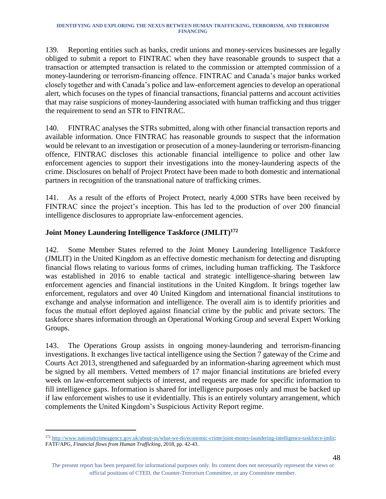139. Reporting entities such as banks, credit unions and money-services businesses are legally obliged to submit a report to FINTRAC when they have reasonable grounds to suspect that a transaction or attempted transaction is related to the commission or attempted commission of a money-laundering or terrorism-financing offence. FINTRAC and Canada's major banks worked closely together and with Canada's police and law-enforcement agencies to develop an operational alert, which focuses on the types of financial transactions, financial patterns and account activities that may raise suspicions of money-laundering associated with human trafficking and thus trigger the requirement to send an STR to FINTRAC.

140. FINTRAC analyses the STRs submitted, along with other financial transaction reports and available information. Once FINTRAC has reasonable grounds to suspect that the information would be relevant to an investigation or prosecution of a money-laundering or terrorism-financing offence, FINTRAC discloses this actionable financial intelligence to police and other law enforcement agencies to support their investigations into the money-laundering aspects of the crime. Disclosures on behalf of Project Protect have been made to both domestic and international partners in recognition of the transnational nature of trafficking crimes.

141. As a result of the efforts of Project Protect, nearly 4,000 STRs have been received by FINTRAC since the project's inception. This has led to the production of over 200 financial intelligence disclosures to appropriate law-enforcement agencies.

#### **Joint Money Laundering Intelligence Taskforce (JMLIT)<sup>172</sup>**

l

142. Some Member States referred to the Joint Money Laundering Intelligence Taskforce (JMLIT) in the United Kingdom as an effective domestic mechanism for detecting and disrupting financial flows relating to various forms of crimes, including human trafficking. The Taskforce was established in 2016 to enable tactical and strategic intelligence-sharing between law enforcement agencies and financial institutions in the United Kingdom. It brings together law enforcement, regulators and over 40 United Kingdom and international financial institutions to exchange and analyse information and intelligence. The overall aim is to identify priorities and focus the mutual effort deployed against financial crime by the public and private sectors. The taskforce shares information through an Operational Working Group and several Expert Working Groups.

143. The Operations Group assists in ongoing money-laundering and terrorism-financing investigations. It exchanges live tactical intelligence using the Section 7 gateway of the Crime and Courts Act 2013, strengthened and safeguarded by an information-sharing agreement which must be signed by all members. Vetted members of 17 major financial institutions are briefed every week on law-enforcement subjects of interest, and requests are made for specific information to fill intelligence gaps. Information is shared for intelligence purposes only and must be backed up if law enforcement wishes to use it evidentially. This is an entirely voluntary arrangement, which complements the United Kingdom's Suspicious Activity Report regime.

The present report has been prepared for informational purposes only. Its content does not necessarily represent the views or official positions of CTED, the Counter-Terrorism Committee, or any Committee member.

<sup>172</sup> [http://www.nationalcrimeagency.gov.uk/about-us/what-we-do/economic-crime/joint-money-laundering-intelligence-taskforce-jmlit;](http://www.nationalcrimeagency.gov.uk/about-us/what-we-do/economic-crime/joint-money-laundering-intelligence-taskforce-jmlit) FATF/APG, *Financial flows from Human Trafficking*, 2018, pp. 42-43.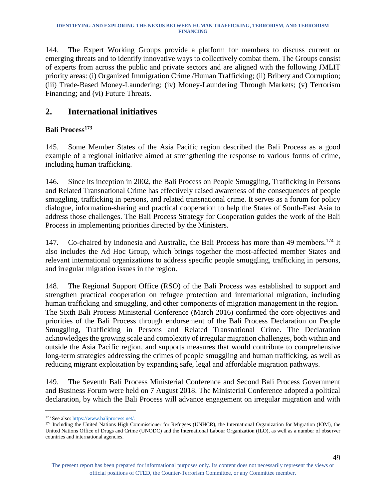144. The Expert Working Groups provide a platform for members to discuss current or emerging threats and to identify innovative ways to collectively combat them. The Groups consist of experts from across the public and private sectors and are aligned with the following JMLIT priority areas: (i) Organized Immigration Crime /Human Trafficking; (ii) Bribery and Corruption; (iii) Trade-Based Money-Laundering; (iv) Money-Laundering Through Markets; (v) Terrorism Financing; and (vi) Future Threats.

### <span id="page-49-0"></span>**2. International initiatives**

#### **Bali Process<sup>173</sup>**

145. Some Member States of the Asia Pacific region described the Bali Process as a good example of a regional initiative aimed at strengthening the response to various forms of crime, including human trafficking.

146. Since its inception in 2002, the Bali Process on People Smuggling, Trafficking in Persons and Related Transnational Crime has effectively raised awareness of the consequences of people smuggling, trafficking in persons, and related transnational crime. It serves as a forum for policy dialogue, information-sharing and practical cooperation to help the States of South-East Asia to address those challenges. The Bali Process Strategy for Cooperation guides the work of the Bali Process in implementing priorities directed by the Ministers.

147. Co-chaired by Indonesia and Australia, the Bali Process has more than 49 members.<sup>174</sup> It also includes the Ad Hoc Group, which brings together the most-affected member States and relevant international organizations to address specific people smuggling, trafficking in persons, and irregular migration issues in the region.

148. The Regional Support Office (RSO) of the Bali Process was established to support and strengthen practical cooperation on refugee protection and international migration, including human trafficking and smuggling, and other components of migration management in the region. The Sixth Bali Process Ministerial Conference (March 2016) confirmed the core objectives and priorities of the Bali Process through endorsement of the Bali Process Declaration on People Smuggling, Trafficking in Persons and Related Transnational Crime. The Declaration acknowledges the growing scale and complexity of irregular migration challenges, both within and outside the Asia Pacific region, and supports measures that would contribute to comprehensive long-term strategies addressing the crimes of people smuggling and human trafficking, as well as reducing migrant exploitation by expanding safe, legal and affordable migration pathways.

149. The Seventh Bali Process Ministerial Conference and Second Bali Process Government and Business Forum were held on 7 August 2018. The Ministerial Conference adopted a political declaration, by which the Bali Process will advance engagement on irregular migration and with

l <sup>173</sup> See also: [https://www.baliprocess.net/.](https://www.baliprocess.net/)

<sup>&</sup>lt;sup>174</sup> Including the United Nations High Commissioner for Refugees (UNHCR), the International Organization for Migration (IOM), the United Nations Office of Drugs and Crime (UNODC) and the International Labour Organization (ILO), as well as a number of observer countries and international agencies.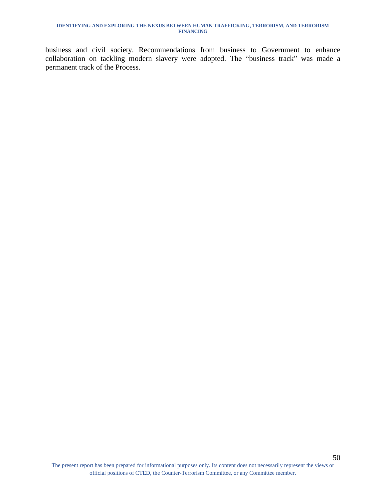business and civil society. Recommendations from business to Government to enhance collaboration on tackling modern slavery were adopted. The "business track" was made a permanent track of the Process.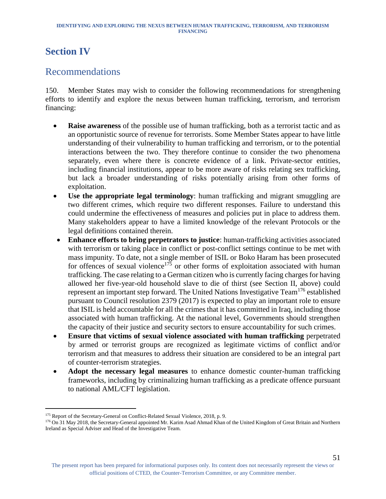# <span id="page-51-0"></span>**Section IV**

# <span id="page-51-1"></span>Recommendations

150. Member States may wish to consider the following recommendations for strengthening efforts to identify and explore the nexus between human trafficking, terrorism, and terrorism financing:

- **Raise awareness** of the possible use of human trafficking, both as a terrorist tactic and as an opportunistic source of revenue for terrorists. Some Member States appear to have little understanding of their vulnerability to human trafficking and terrorism, or to the potential interactions between the two. They therefore continue to consider the two phenomena separately, even where there is concrete evidence of a link. Private-sector entities, including financial institutions, appear to be more aware of risks relating sex trafficking, but lack a broader understanding of risks potentially arising from other forms of exploitation.
- **Use the appropriate legal terminology**: human trafficking and migrant smuggling are two different crimes, which require two different responses. Failure to understand this could undermine the effectiveness of measures and policies put in place to address them. Many stakeholders appear to have a limited knowledge of the relevant Protocols or the legal definitions contained therein.
- **Enhance efforts to bring perpetrators to justice**: human-trafficking activities associated with terrorism or taking place in conflict or post-conflict settings continue to be met with mass impunity. To date, not a single member of ISIL or Boko Haram has been prosecuted for offences of sexual violence<sup>175</sup> or other forms of exploitation associated with human trafficking. The case relating to a German citizen who is currently facing charges for having allowed her five-year-old household slave to die of thirst (see Section II, above) could represent an important step forward. The United Nations Investigative Team<sup>176</sup> established pursuant to Council resolution 2379 (2017) is expected to play an important role to ensure that ISIL is held accountable for all the crimes that it has committed in Iraq, including those associated with human trafficking. At the national level, Governments should strengthen the capacity of their justice and security sectors to ensure accountability for such crimes.
- **Ensure that victims of sexual violence associated with human trafficking** perpetrated by armed or terrorist groups are recognized as legitimate victims of conflict and/or terrorism and that measures to address their situation are considered to be an integral part of counter-terrorism strategies.
- **Adopt the necessary legal measures** to enhance domestic counter-human trafficking frameworks, including by criminalizing human trafficking as a predicate offence pursuant to national AML/CFT legislation.

<sup>&</sup>lt;sup>175</sup> Report of the Secretary-General on Conflict-Related Sexual Violence, 2018, p. 9.

<sup>&</sup>lt;sup>176</sup> On 31 May 2018, the Secretary-General appointed Mr. Karim Asad Ahmad Khan of the United Kingdom of Great Britain and Northern Ireland as Special Adviser and Head of the Investigative Team.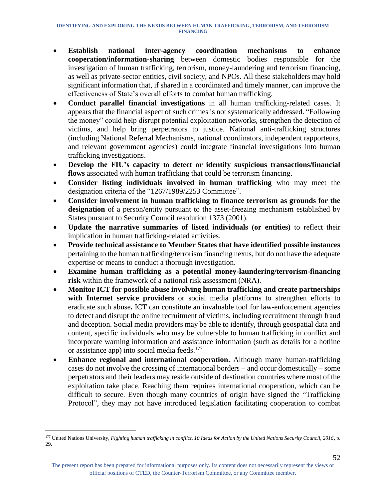- **Establish national inter-agency coordination mechanisms to enhance cooperation/information-sharing** between domestic bodies responsible for the investigation of human trafficking, terrorism, money-laundering and terrorism financing, as well as private-sector entities, civil society, and NPOs. All these stakeholders may hold significant information that, if shared in a coordinated and timely manner, can improve the effectiveness of State's overall efforts to combat human trafficking.
- **Conduct parallel financial investigations** in all human trafficking-related cases. It appears that the financial aspect of such crimes is not systematically addressed. "Following the money" could help disrupt potential exploitation networks, strengthen the detection of victims, and help bring perpetrators to justice. National anti-trafficking structures (including National Referral Mechanisms, national coordinators, independent rapporteurs, and relevant government agencies) could integrate financial investigations into human trafficking investigations.
- **Develop the FIU's capacity to detect or identify suspicious transactions/financial flows** associated with human trafficking that could be terrorism financing.
- **Consider listing individuals involved in human trafficking** who may meet the designation criteria of the "1267/1989/2253 Committee".
- **Consider involvement in human trafficking to finance terrorism as grounds for the designation** of a person/entity pursuant to the asset-freezing mechanism established by States pursuant to Security Council resolution 1373 (2001).
- **Update the narrative summaries of listed individuals (or entities)** to reflect their implication in human trafficking-related activities.
- **Provide technical assistance to Member States that have identified possible instances**  pertaining to the human trafficking/terrorism financing nexus, but do not have the adequate expertise or means to conduct a thorough investigation.
- **Examine human trafficking as a potential money-laundering/terrorism-financing risk** within the framework of a national risk assessment (NRA).
- **Monitor ICT for possible abuse involving human trafficking and create partnerships with Internet service providers** or social media platforms to strengthen efforts to eradicate such abuse**.** ICT can constitute an invaluable tool for law-enforcement agencies to detect and disrupt the online recruitment of victims, including recruitment through fraud and deception. Social media providers may be able to identify, through geospatial data and content, specific individuals who may be vulnerable to human trafficking in conflict and incorporate warning information and assistance information (such as details for a hotline or assistance app) into social media feeds.<sup>177</sup>
- **Enhance regional and international cooperation.** Although many human-trafficking cases do not involve the crossing of international borders – and occur domestically – some perpetrators and their leaders may reside outside of destination countries where most of the exploitation take place. Reaching them requires international cooperation, which can be difficult to secure. Even though many countries of origin have signed the "Trafficking Protocol", they may not have introduced legislation facilitating cooperation to combat

<sup>177</sup> United Nations University, *Fighting human trafficking in conflict, 10 Ideas for Action by the United Nations Security Council, 2016*, p. 29.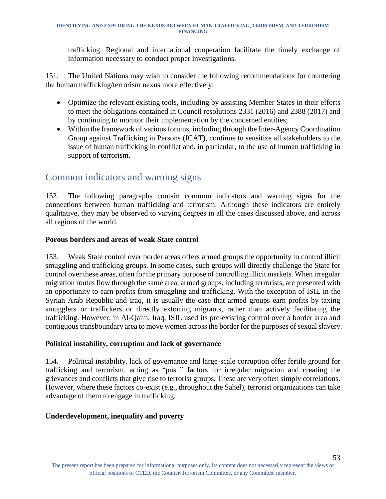trafficking. Regional and international cooperation facilitate the timely exchange of information necessary to conduct proper investigations.

151. The United Nations may wish to consider the following recommendations for countering the human trafficking/terrorism nexus more effectively:

- Optimize the relevant existing tools, including by assisting Member States in their efforts to meet the obligations contained in Council resolutions 2331 (2016) and 2388 (2017) and by continuing to monitor their implementation by the concerned entities;
- Within the framework of various forums, including through the Inter-Agency Coordination Group against Trafficking in Persons (ICAT), continue to sensitize all stakeholders to the issue of human trafficking in conflict and, in particular, to the use of human trafficking in support of terrorism.

# <span id="page-53-0"></span>Common indicators and warning signs

152. The following paragraphs contain common indicators and warning signs for the connections between human trafficking and terrorism. Although these indicators are entirely qualitative, they may be observed to varying degrees in all the cases discussed above, and across all regions of the world.

#### **Porous borders and areas of weak State control**

153. Weak State control over border areas offers armed groups the opportunity to control illicit smuggling and trafficking groups. In some cases, such groups will directly challenge the State for control over these areas, often for the primary purpose of controlling illicit markets. When irregular migration routes flow through the same area, armed groups, including terrorists, are presented with an opportunity to earn profits from smuggling and trafficking. With the exception of ISIL in the Syrian Arab Republic and Iraq, it is usually the case that armed groups earn profits by taxing smugglers or traffickers or directly extorting migrants, rather than actively facilitating the trafficking. However, in Al-Qaim, Iraq, ISIL used its pre-existing control over a border area and contiguous transboundary area to move women across the border for the purposes of sexual slavery.

#### **Political instability, corruption and lack of governance**

154. Political instability, lack of governance and large-scale corruption offer fertile ground for trafficking and terrorism, acting as "push" factors for irregular migration and creating the grievances and conflicts that give rise to terrorist groups. These are very often simply correlations. However, where these factors co-exist (e.g., throughout the Sahel), terrorist organizations can take advantage of them to engage in trafficking.

#### **Underdevelopment, inequality and poverty**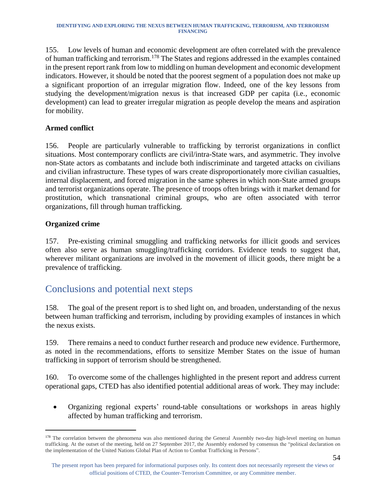155. Low levels of human and economic development are often correlated with the prevalence of human trafficking and terrorism.<sup>178</sup> The States and regions addressed in the examples contained in the present report rank from low to middling on human development and economic development indicators. However, it should be noted that the poorest segment of a population does not make up a significant proportion of an irregular migration flow. Indeed, one of the key lessons from studying the development/migration nexus is that increased GDP per capita (i.e., economic development) can lead to greater irregular migration as people develop the means and aspiration for mobility.

#### **Armed conflict**

156. People are particularly vulnerable to trafficking by terrorist organizations in conflict situations. Most contemporary conflicts are civil/intra-State wars, and asymmetric. They involve non-State actors as combatants and include both indiscriminate and targeted attacks on civilians and civilian infrastructure. These types of wars create disproportionately more civilian casualties, internal displacement, and forced migration in the same spheres in which non-State armed groups and terrorist organizations operate. The presence of troops often brings with it market demand for prostitution, which transnational criminal groups, who are often associated with terror organizations, fill through human trafficking.

#### **Organized crime**

l

157. Pre-existing criminal smuggling and trafficking networks for illicit goods and services often also serve as human smuggling/trafficking corridors. Evidence tends to suggest that, wherever militant organizations are involved in the movement of illicit goods, there might be a prevalence of trafficking.

# <span id="page-54-0"></span>Conclusions and potential next steps

158. The goal of the present report is to shed light on, and broaden, understanding of the nexus between human trafficking and terrorism, including by providing examples of instances in which the nexus exists.

159. There remains a need to conduct further research and produce new evidence. Furthermore, as noted in the recommendations, efforts to sensitize Member States on the issue of human trafficking in support of terrorism should be strengthened.

160. To overcome some of the challenges highlighted in the present report and address current operational gaps, CTED has also identified potential additional areas of work. They may include:

• Organizing regional experts' round-table consultations or workshops in areas highly affected by human trafficking and terrorism.

<sup>&</sup>lt;sup>178</sup> The correlation between the phenomena was also mentioned during the General Assembly two-day high-level meeting on human trafficking. At the outset of the meeting, held on 27 September 2017, the Assembly endorsed by consensus the "political declaration on the implementation of the United Nations Global Plan of Action to Combat Trafficking in Persons".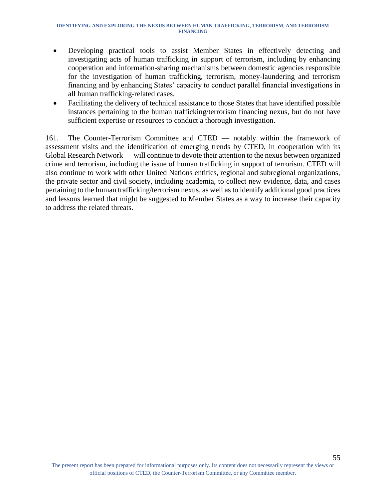- Developing practical tools to assist Member States in effectively detecting and investigating acts of human trafficking in support of terrorism, including by enhancing cooperation and information-sharing mechanisms between domestic agencies responsible for the investigation of human trafficking, terrorism, money-laundering and terrorism financing and by enhancing States' capacity to conduct parallel financial investigations in all human trafficking-related cases.
- Facilitating the delivery of technical assistance to those States that have identified possible instances pertaining to the human trafficking/terrorism financing nexus, but do not have sufficient expertise or resources to conduct a thorough investigation.

161. The Counter-Terrorism Committee and CTED — notably within the framework of assessment visits and the identification of emerging trends by CTED, in cooperation with its Global Research Network — will continue to devote their attention to the nexus between organized crime and terrorism, including the issue of human trafficking in support of terrorism. CTED will also continue to work with other United Nations entities, regional and subregional organizations, the private sector and civil society, including academia, to collect new evidence, data, and cases pertaining to the human trafficking/terrorism nexus, as well as to identify additional good practices and lessons learned that might be suggested to Member States as a way to increase their capacity to address the related threats.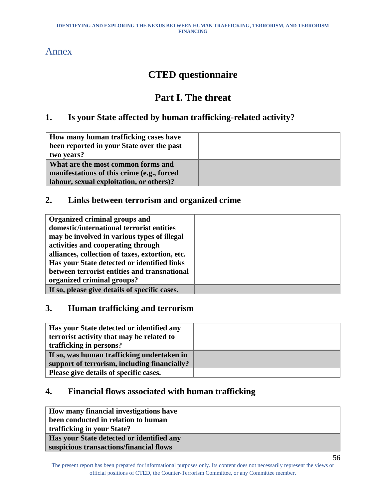### <span id="page-56-0"></span>Annex

# **CTED questionnaire**

# **Part I. The threat**

### **1. Is your State affected by human trafficking-related activity?**

| How many human trafficking cases have           |  |
|-------------------------------------------------|--|
| been reported in your State over the past       |  |
| two years?                                      |  |
| What are the most common forms and              |  |
| manifestations of this crime (e.g., forced      |  |
| <b>labour, sexual exploitation, or others)?</b> |  |

### **2. Links between terrorism and organized crime**

| Organized criminal groups and                   |  |
|-------------------------------------------------|--|
| domestic/international terrorist entities       |  |
| may be involved in various types of illegal     |  |
| activities and cooperating through              |  |
| alliances, collection of taxes, extortion, etc. |  |
| Has your State detected or identified links     |  |
| between terrorist entities and transnational    |  |
| organized criminal groups?                      |  |
| If so, please give details of specific cases.   |  |

### **3. Human trafficking and terrorism**

| Has your State detected or identified any<br>terrorist activity that may be related to |  |
|----------------------------------------------------------------------------------------|--|
| trafficking in persons?                                                                |  |
| If so, was human trafficking undertaken in                                             |  |
| support of terrorism, including financially?                                           |  |
| Please give details of specific cases.                                                 |  |

### **4. Financial flows associated with human trafficking**

| How many financial investigations have           |  |
|--------------------------------------------------|--|
| been conducted in relation to human              |  |
| trafficking in your State?                       |  |
| <b>Has your State detected or identified any</b> |  |
| suspicious transactions/financial flows          |  |

The present report has been prepared for informational purposes only. Its content does not necessarily represent the views or official positions of CTED, the Counter-Terrorism Committee, or any Committee member.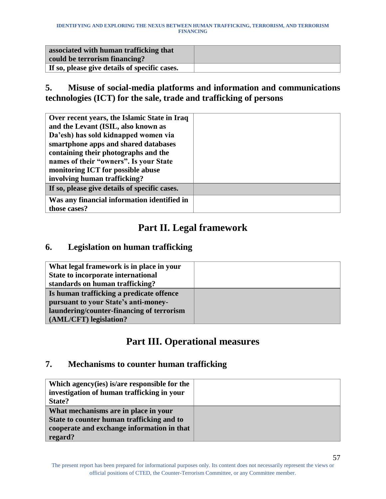| associated with human trafficking that<br>could be terrorism financing? |  |
|-------------------------------------------------------------------------|--|
| If so, please give details of specific cases.                           |  |

**5. Misuse of social-media platforms and information and communications technologies (ICT) for the sale, trade and trafficking of persons** 

| Over recent years, the Islamic State in Iraq  |  |
|-----------------------------------------------|--|
| and the Levant (ISIL, also known as           |  |
| Da'esh) has sold kidnapped women via          |  |
| smartphone apps and shared databases          |  |
| containing their photographs and the          |  |
| names of their "owners". Is your State        |  |
| monitoring ICT for possible abuse             |  |
| involving human trafficking?                  |  |
| If so, please give details of specific cases. |  |
| Was any financial information identified in   |  |
| those cases?                                  |  |

# **Part II. Legal framework**

#### **6. Legislation on human trafficking**

| What legal framework is in place in your  |  |
|-------------------------------------------|--|
| State to incorporate international        |  |
| standards on human trafficking?           |  |
| Is human trafficking a predicate offence  |  |
| pursuant to your State's anti-money-      |  |
| laundering/counter-financing of terrorism |  |
| (AML/CFT) legislation?                    |  |

# **Part III. Operational measures**

#### **7. Mechanisms to counter human trafficking**

| Which agency (ies) is/are responsible for the<br>investigation of human trafficking in your<br>State?                                      |  |
|--------------------------------------------------------------------------------------------------------------------------------------------|--|
| What mechanisms are in place in your<br>State to counter human trafficking and to<br>cooperate and exchange information in that<br>regard? |  |

The present report has been prepared for informational purposes only. Its content does not necessarily represent the views or official positions of CTED, the Counter-Terrorism Committee, or any Committee member.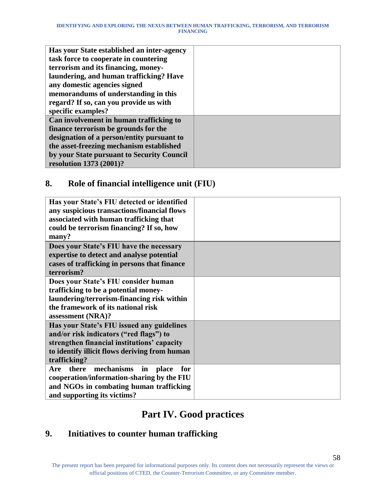| Has your State established an inter-agency |  |
|--------------------------------------------|--|
| task force to cooperate in countering      |  |
| terrorism and its financing, money-        |  |
| laundering, and human trafficking? Have    |  |
| any domestic agencies signed               |  |
| memorandums of understanding in this       |  |
| regard? If so, can you provide us with     |  |
| specific examples?                         |  |
| Can involvement in human trafficking to    |  |
| finance terrorism be grounds for the       |  |
| designation of a person/entity pursuant to |  |
| the asset-freezing mechanism established   |  |
| by your State pursuant to Security Council |  |
| resolution 1373 (2001)?                    |  |

### **8. Role of financial intelligence unit (FIU)**

| Has your State's FIU detected or identified<br>any suspicious transactions/financial flows<br>associated with human trafficking that<br>could be terrorism financing? If so, how<br>many? |  |
|-------------------------------------------------------------------------------------------------------------------------------------------------------------------------------------------|--|
| Does your State's FIU have the necessary                                                                                                                                                  |  |
| expertise to detect and analyse potential                                                                                                                                                 |  |
| cases of trafficking in persons that finance                                                                                                                                              |  |
| terrorism?                                                                                                                                                                                |  |
| Does your State's FIU consider human                                                                                                                                                      |  |
| trafficking to be a potential money-                                                                                                                                                      |  |
| laundering/terrorism-financing risk within                                                                                                                                                |  |
| the framework of its national risk                                                                                                                                                        |  |
| assessment (NRA)?                                                                                                                                                                         |  |
| Has your State's FIU issued any guidelines                                                                                                                                                |  |
| and/or risk indicators ("red flags") to                                                                                                                                                   |  |
| strengthen financial institutions' capacity                                                                                                                                               |  |
| to identify illicit flows deriving from human                                                                                                                                             |  |
| trafficking?                                                                                                                                                                              |  |
| mechanisms<br>Are<br>there<br>in<br>place<br>for                                                                                                                                          |  |
| cooperation/information-sharing by the FIU                                                                                                                                                |  |
| and NGOs in combating human trafficking                                                                                                                                                   |  |
| and supporting its victims?                                                                                                                                                               |  |

# **Part IV. Good practices**

# **9. Initiatives to counter human trafficking**